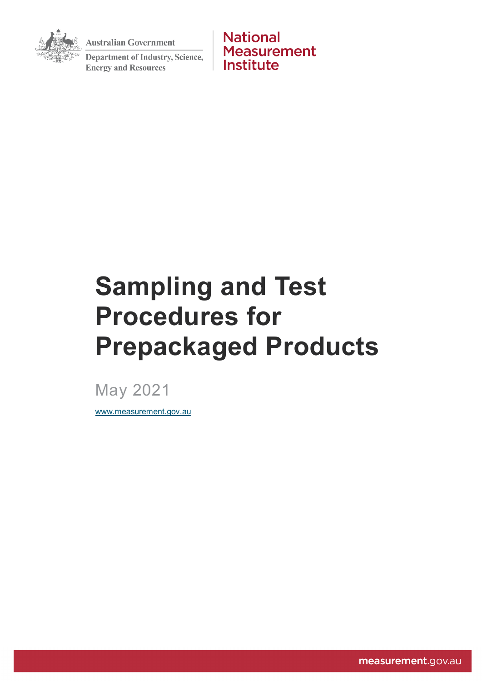**Australian Government** 



**Department of Industry, Science, Energy and Resources** 

**National Measurement** Institute

# **Sampling and Test Procedures for Prepackaged Products**

May 2021

[www.measurement.gov.au](http://www.measurement.gov.au/)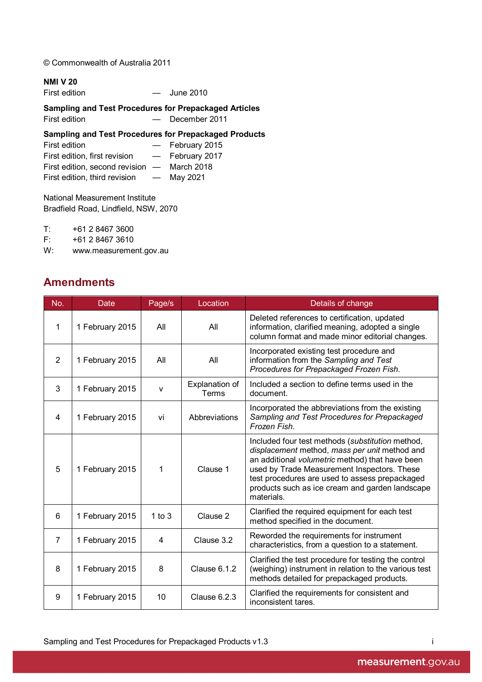© Commonwealth of Australia 2011

#### **NMI V 20**

| First edition | June 2010 |
|---------------|-----------|
|               |           |

#### **Sampling and Test Procedures for Prepackaged Articles**

First edition **- December 2011** 

### **Sampling and Test Procedures for Prepackaged Products**

| First edition                               |                          | - February 2015 |
|---------------------------------------------|--------------------------|-----------------|
| First edition, first revision               |                          | - February 2017 |
| First edition, second revision - March 2018 |                          |                 |
| First edition, third revision               | $\overline{\phantom{0}}$ | May 2021        |

National Measurement Institute Bradfield Road, Lindfield, NSW, 2070

T: +61 2 8467 3600

F: +61 2 8467 3610

W: www.measurement.gov.au

# <span id="page-1-0"></span>**Amendments**

| No. | Date            | Page/s       | Location                                                                                                                             | Details of change                                                                                                                                                                                                                                                                                                      |
|-----|-----------------|--------------|--------------------------------------------------------------------------------------------------------------------------------------|------------------------------------------------------------------------------------------------------------------------------------------------------------------------------------------------------------------------------------------------------------------------------------------------------------------------|
| 1   | 1 February 2015 | All          | All                                                                                                                                  | Deleted references to certification, updated<br>information, clarified meaning, adopted a single<br>column format and made minor editorial changes.                                                                                                                                                                    |
| 2   | 1 February 2015 | All          | Incorporated existing test procedure and<br>information from the Sampling and Test<br>All<br>Procedures for Prepackaged Frozen Fish. |                                                                                                                                                                                                                                                                                                                        |
| 3   | 1 February 2015 | $\mathsf{v}$ | Explanation of<br><b>Terms</b>                                                                                                       | Included a section to define terms used in the<br>document.                                                                                                                                                                                                                                                            |
| 4   | 1 February 2015 | vi           | Abbreviations                                                                                                                        | Incorporated the abbreviations from the existing<br>Sampling and Test Procedures for Prepackaged<br>Frozen Fish.                                                                                                                                                                                                       |
| 5   | 1 February 2015 | 1            | Clause 1                                                                                                                             | Included four test methods (substitution method,<br>displacement method, mass per unit method and<br>an additional volumetric method) that have been<br>used by Trade Measurement Inspectors. These<br>test procedures are used to assess prepackaged<br>products such as ice cream and garden landscape<br>materials. |
| 6   | 1 February 2015 | 1 to $3$     | Clause 2                                                                                                                             | Clarified the required equipment for each test<br>method specified in the document.                                                                                                                                                                                                                                    |
| 7   | 1 February 2015 | 4            | Clause 3.2                                                                                                                           | Reworded the requirements for instrument<br>characteristics, from a question to a statement.                                                                                                                                                                                                                           |
| 8   | 1 February 2015 | 8            | Clause 6.1.2                                                                                                                         | Clarified the test procedure for testing the control<br>(weighing) instrument in relation to the various test<br>methods detailed for prepackaged products.                                                                                                                                                            |
| 9   | 1 February 2015 | 10           | Clause 6.2.3                                                                                                                         | Clarified the requirements for consistent and<br>inconsistent tares.                                                                                                                                                                                                                                                   |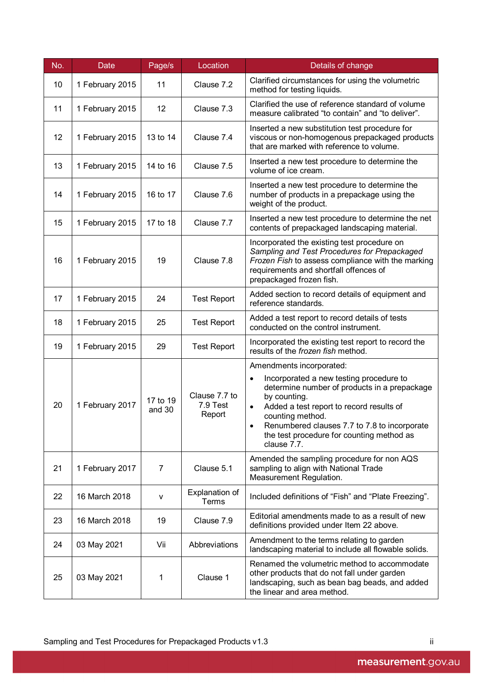| No. | Date            | Page/s             | Location                            | Details of change                                                                                                                                                                                                                                                                                                                         |
|-----|-----------------|--------------------|-------------------------------------|-------------------------------------------------------------------------------------------------------------------------------------------------------------------------------------------------------------------------------------------------------------------------------------------------------------------------------------------|
| 10  | 1 February 2015 | 11                 | Clause 7.2                          | Clarified circumstances for using the volumetric<br>method for testing liquids.                                                                                                                                                                                                                                                           |
| 11  | 1 February 2015 | 12                 | Clause 7.3                          | Clarified the use of reference standard of volume<br>measure calibrated "to contain" and "to deliver".                                                                                                                                                                                                                                    |
| 12  | 1 February 2015 | 13 to 14           | Clause 7.4                          | Inserted a new substitution test procedure for<br>viscous or non-homogenous prepackaged products<br>that are marked with reference to volume.                                                                                                                                                                                             |
| 13  | 1 February 2015 | 14 to 16           | Clause 7.5                          | Inserted a new test procedure to determine the<br>volume of ice cream.                                                                                                                                                                                                                                                                    |
| 14  | 1 February 2015 | 16 to 17           | Clause 7.6                          | Inserted a new test procedure to determine the<br>number of products in a prepackage using the<br>weight of the product.                                                                                                                                                                                                                  |
| 15  | 1 February 2015 | 17 to 18           | Clause 7.7                          | Inserted a new test procedure to determine the net<br>contents of prepackaged landscaping material.                                                                                                                                                                                                                                       |
| 16  | 1 February 2015 | 19                 | Clause 7.8                          | Incorporated the existing test procedure on<br>Sampling and Test Procedures for Prepackaged<br>Frozen Fish to assess compliance with the marking<br>requirements and shortfall offences of<br>prepackaged frozen fish.                                                                                                                    |
| 17  | 1 February 2015 | 24                 | <b>Test Report</b>                  | Added section to record details of equipment and<br>reference standards.                                                                                                                                                                                                                                                                  |
| 18  | 1 February 2015 | 25                 | <b>Test Report</b>                  | Added a test report to record details of tests<br>conducted on the control instrument.                                                                                                                                                                                                                                                    |
| 19  | 1 February 2015 | 29                 | <b>Test Report</b>                  | Incorporated the existing test report to record the<br>results of the frozen fish method.                                                                                                                                                                                                                                                 |
| 20  | 1 February 2017 | 17 to 19<br>and 30 | Clause 7.7 to<br>7.9 Test<br>Report | Amendments incorporated:<br>Incorporated a new testing procedure to<br>$\bullet$<br>determine number of products in a prepackage<br>by counting.<br>Added a test report to record results of<br>$\bullet$<br>counting method.<br>Renumbered clauses 7.7 to 7.8 to incorporate<br>the test procedure for counting method as<br>clause 7.7. |
| 21  | 1 February 2017 | 7                  | Clause 5.1                          | Amended the sampling procedure for non AQS<br>sampling to align with National Trade<br>Measurement Regulation.                                                                                                                                                                                                                            |
| 22  | 16 March 2018   | v                  | Explanation of<br>Terms             | Included definitions of "Fish" and "Plate Freezing".                                                                                                                                                                                                                                                                                      |
| 23  | 16 March 2018   | 19                 | Clause 7.9                          | Editorial amendments made to as a result of new<br>definitions provided under Item 22 above.                                                                                                                                                                                                                                              |
| 24  | 03 May 2021     | Vii                | Abbreviations                       | Amendment to the terms relating to garden<br>landscaping material to include all flowable solids.                                                                                                                                                                                                                                         |
| 25  | 03 May 2021     | 1                  | Clause 1                            | Renamed the volumetric method to accommodate<br>other products that do not fall under garden<br>landscaping, such as bean bag beads, and added<br>the linear and area method.                                                                                                                                                             |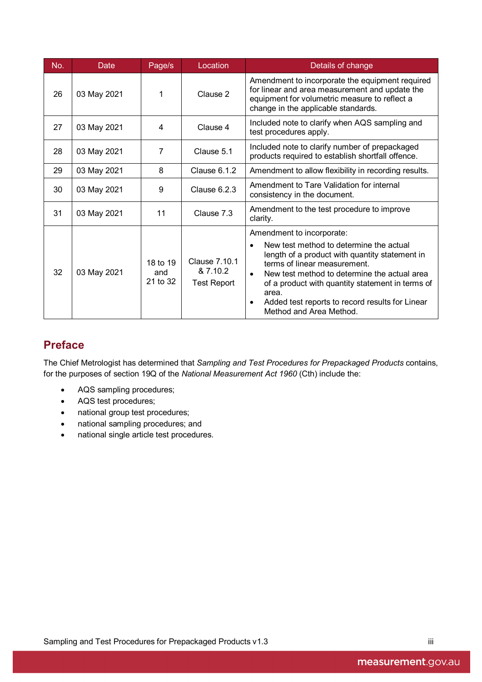| No. | Date        | Page/s                      | Location                                        | Details of change                                                                                                                                                                                                                                                                                                                                           |
|-----|-------------|-----------------------------|-------------------------------------------------|-------------------------------------------------------------------------------------------------------------------------------------------------------------------------------------------------------------------------------------------------------------------------------------------------------------------------------------------------------------|
| 26  | 03 May 2021 | 1                           | Clause 2                                        | Amendment to incorporate the equipment required<br>for linear and area measurement and update the<br>equipment for volumetric measure to reflect a<br>change in the applicable standards.                                                                                                                                                                   |
| 27  | 03 May 2021 | 4                           | Clause 4                                        | Included note to clarify when AQS sampling and<br>test procedures apply.                                                                                                                                                                                                                                                                                    |
| 28  | 03 May 2021 | 7                           | Clause 5.1                                      | Included note to clarify number of prepackaged<br>products required to establish shortfall offence.                                                                                                                                                                                                                                                         |
| 29  | 03 May 2021 | 8                           | Clause 6.1.2                                    | Amendment to allow flexibility in recording results.                                                                                                                                                                                                                                                                                                        |
| 30  | 03 May 2021 | 9                           | Clause 6.2.3                                    | Amendment to Tare Validation for internal<br>consistency in the document.                                                                                                                                                                                                                                                                                   |
| 31  | 03 May 2021 | 11                          | Clause 7.3                                      | Amendment to the test procedure to improve<br>clarity.                                                                                                                                                                                                                                                                                                      |
|     |             |                             |                                                 | Amendment to incorporate:                                                                                                                                                                                                                                                                                                                                   |
| 32  | 03 May 2021 | 18 to 19<br>and<br>21 to 32 | Clause 7.10.1<br>& 7.10.2<br><b>Test Report</b> | New test method to determine the actual<br>$\bullet$<br>length of a product with quantity statement in<br>terms of linear measurement.<br>New test method to determine the actual area<br>$\bullet$<br>of a product with quantity statement in terms of<br>area.<br>Added test reports to record results for Linear<br>$\bullet$<br>Method and Area Method. |

# <span id="page-3-0"></span>**Preface**

The Chief Metrologist has determined that *Sampling and Test Procedures for Prepackaged Products* contains, for the purposes of section 19Q of the *National Measurement Act 1960* (Cth) include the:

- AQS sampling procedures;
- AQS test procedures;
- national group test procedures;
- national sampling procedures; and
- national single article test procedures.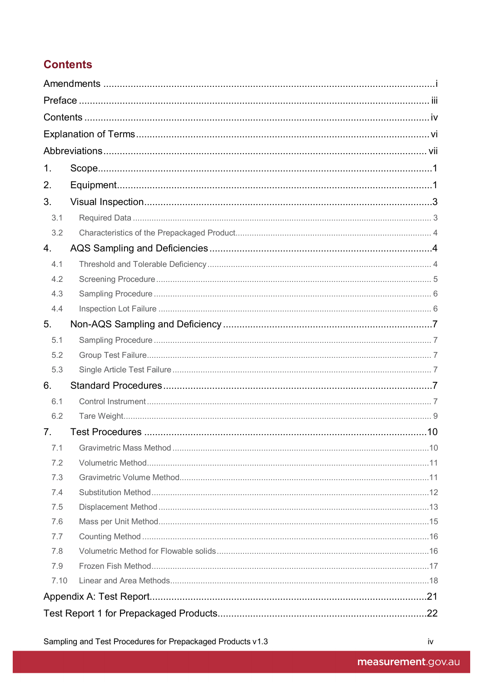# <span id="page-4-0"></span>**Contents**

| 1.             |  |
|----------------|--|
| 2.             |  |
| 3.             |  |
| 3.1            |  |
| 3.2            |  |
| 4.             |  |
| 4.1            |  |
| 4.2            |  |
| 4.3            |  |
| 4.4            |  |
| 5.             |  |
| 5.1            |  |
| 5.2            |  |
| 5.3            |  |
| 6.             |  |
| 6.1            |  |
| 6.2            |  |
| 7 <sub>1</sub> |  |
| 7.1            |  |
| 7.2            |  |
| 7.3            |  |
| 7.4            |  |
| 7.5            |  |
| 7.6            |  |
| 7.7            |  |
| 7.8            |  |
| 7.9            |  |
| 7.10           |  |
|                |  |
|                |  |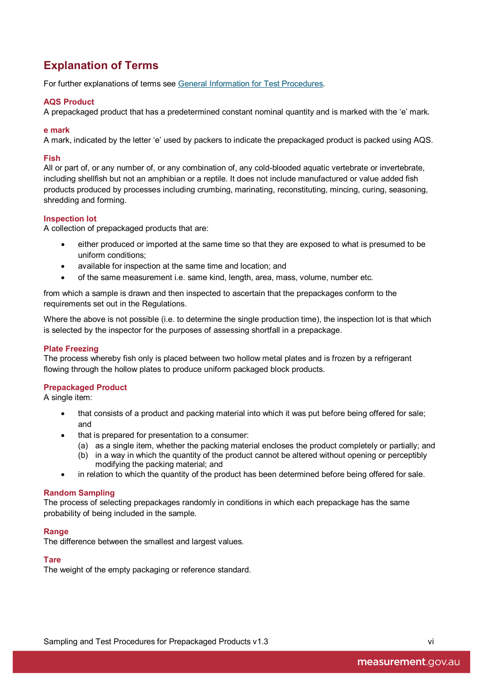# <span id="page-6-0"></span>**Explanation of Terms**

For further explanations of terms see [General Information for Test Procedures.](http://www.measurement.gov.au/Publications/NMIVDocuments/Pages/default.aspx)

#### **AQS Product**

A prepackaged product that has a predetermined constant nominal quantity and is marked with the 'e' mark.

#### **e mark**

A mark, indicated by the letter 'e' used by packers to indicate the prepackaged product is packed using AQS.

#### **Fish**

All or part of, or any number of, or any combination of, any cold-blooded aquatic vertebrate or invertebrate, including shellfish but not an amphibian or a reptile. It does not include manufactured or value added fish products produced by processes including crumbing, marinating, reconstituting, mincing, curing, seasoning, shredding and forming.

#### **Inspection lot**

A collection of prepackaged products that are:

- either produced or imported at the same time so that they are exposed to what is presumed to be uniform conditions;
- available for inspection at the same time and location; and
- of the same measurement i.e. same kind, length, area, mass, volume, number etc.

from which a sample is drawn and then inspected to ascertain that the prepackages conform to the requirements set out in the Regulations.

Where the above is not possible (i.e. to determine the single production time), the inspection lot is that which is selected by the inspector for the purposes of assessing shortfall in a prepackage.

#### **Plate Freezing**

The process whereby fish only is placed between two hollow metal plates and is frozen by a refrigerant flowing through the hollow plates to produce uniform packaged block products.

#### **Prepackaged Product**

A single item:

- that consists of a product and packing material into which it was put before being offered for sale; and
- that is prepared for presentation to a consumer:
	- (a) as a single item, whether the packing material encloses the product completely or partially; and
	- (b) in a way in which the quantity of the product cannot be altered without opening or perceptibly modifying the packing material; and
- in relation to which the quantity of the product has been determined before being offered for sale.

#### **Random Sampling**

The process of selecting prepackages randomly in conditions in which each prepackage has the same probability of being included in the sample.

#### **Range**

The difference between the smallest and largest values.

#### **Tare**

The weight of the empty packaging or reference standard.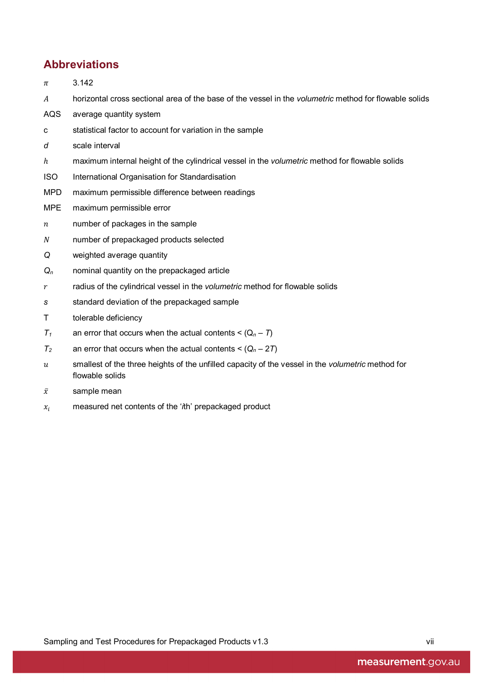# <span id="page-7-0"></span>**Abbreviations**

- $\pi$  3.142
- horizontal cross sectional area of the base of the vessel in the *volumetric* method for flowable solids
- AQS average quantity system
- c statistical factor to account for variation in the sample
- *d* scale interval
- ℎ maximum internal height of the cylindrical vessel in the *volumetric* method for flowable solids
- ISO International Organisation for Standardisation
- MPD maximum permissible difference between readings
- MPE maximum permissible error
- $n$  number of packages in the sample
- number of prepackaged products selected
- *Q* weighted average quantity
- *Qn* nominal quantity on the prepackaged article
- r radius of the cylindrical vessel in the *volumetric* method for flowable solids
- *s* standard deviation of the prepackaged sample
- T tolerable deficiency
- $T_1$  an error that occurs when the actual contents <  $(Q_n T)$
- $T_2$  an error that occurs when the actual contents <  $(Q_n 2T)$
- smallest of the three heights of the unfilled capacity of the vessel in the *volumetric* method for flowable solids
- $\bar{x}$  sample mean
- measured net contents of the '*i*th' prepackaged product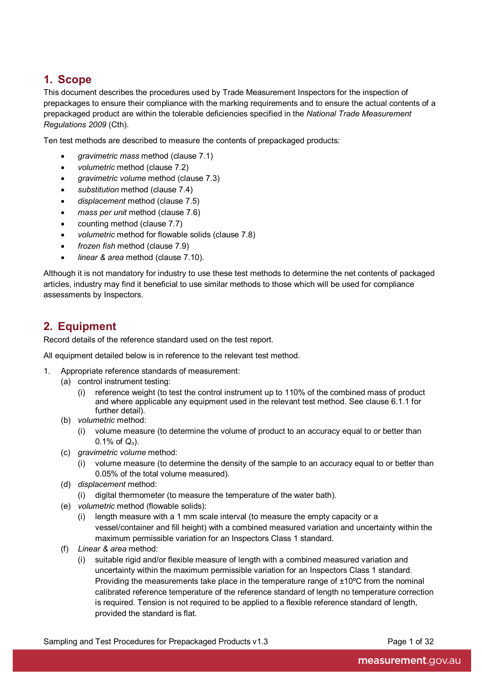# <span id="page-8-0"></span>**1. Scope**

This document describes the procedures used by Trade Measurement Inspectors for the inspection of prepackages to ensure their compliance with the marking requirements and to ensure the actual contents of a prepackaged product are within the tolerable deficiencies specified in the *National Trade Measurement Regulations 2009* (Cth).

Ten test methods are described to measure the contents of prepackaged products:

- *gravimetric mass* method (clause 7.1)
- *volumetric* method (clause 7.2)
- *gravimetric volume* method (clause 7.3)
- *substitution* method (clause 7.4)
- *displacement* method (clause 7.5)
- *mass per unit* method (clause 7.6)
- counting method (clause 7.7)
- *volumetric* method for flowable solids (clause 7.8)
- *frozen fish* method (clause 7.9)
- *linear & area* method (clause 7.10).

Although it is not mandatory for industry to use these test methods to determine the net contents of packaged articles, industry may find it beneficial to use similar methods to those which will be used for compliance assessments by Inspectors.

# <span id="page-8-1"></span>**2. Equipment**

Record details of the reference standard used on the test report.

All equipment detailed below is in reference to the relevant test method.

- 1. Appropriate reference standards of measurement:
	- (a) control instrument testing:
		- (i) reference weight (to test the control instrument up to 110% of the combined mass of product and where applicable any equipment used in the relevant test method. See clause 6.1.1 for further detail).
	- (b) *volumetric* method:
		- (i) volume measure (to determine the volume of product to an accuracy equal to or better than 0.1% of *Qn*).
	- (c) *gravimetric volume* method:
		- (i) volume measure (to determine the density of the sample to an accuracy equal to or better than 0.05% of the total volume measured).
	- (d) *displacement* method:
		- (i) digital thermometer (to measure the temperature of the water bath).
	- (e) *volumetric* method (flowable solids):
		- (i) length measure with a 1 mm scale interval (to measure the empty capacity or a vessel/container and fill height) with a combined measured variation and uncertainty within the maximum permissible variation for an Inspectors Class 1 standard.
	- (f) *Linear & area* method:
		- (i) suitable rigid and/or flexible measure of length with a combined measured variation and uncertainty within the maximum permissible variation for an Inspectors Class 1 standard. Providing the measurements take place in the temperature range of ±10ºC from the nominal calibrated reference temperature of the reference standard of length no temperature correction is required. Tension is not required to be applied to a flexible reference standard of length, provided the standard is flat.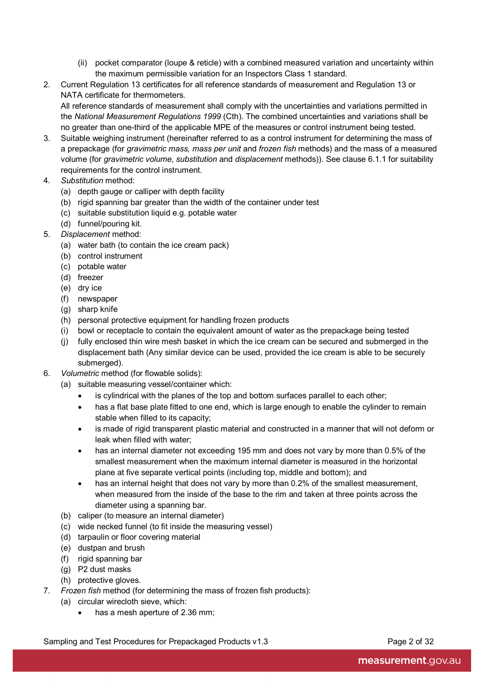- (ii) pocket comparator (loupe & reticle) with a combined measured variation and uncertainty within the maximum permissible variation for an Inspectors Class 1 standard.
- 2. Current Regulation 13 certificates for all reference standards of measurement and Regulation 13 or NATA certificate for thermometers.

All reference standards of measurement shall comply with the uncertainties and variations permitted in the *National Measurement Regulations 1999* (Cth). The combined uncertainties and variations shall be no greater than one-third of the applicable MPE of the measures or control instrument being tested.

- 3. Suitable weighing instrument (hereinafter referred to as a control instrument for determining the mass of a prepackage (for *gravimetric mass, mass per unit* and *frozen fish* methods) and the mass of a measured volume (for *gravimetric volume*, *substitution* and *displacement* methods)). See clause 6.1.1 for suitability requirements for the control instrument.
- 4. *Substitution* method:
	- (a) depth gauge or calliper with depth facility
	- (b) rigid spanning bar greater than the width of the container under test
	- (c) suitable substitution liquid e.g. potable water
	- (d) funnel/pouring kit.
- 5. *Displacement* method:
	- (a) water bath (to contain the ice cream pack)
	- (b) control instrument
	- (c) potable water
	- (d) freezer
	- (e) dry ice
	- (f) newspaper
	- (g) sharp knife
	- (h) personal protective equipment for handling frozen products
	- (i) bowl or receptacle to contain the equivalent amount of water as the prepackage being tested
	- (j) fully enclosed thin wire mesh basket in which the ice cream can be secured and submerged in the displacement bath (Any similar device can be used, provided the ice cream is able to be securely submerged).
- 6. *Volumetric* method (for flowable solids):
	- (a) suitable measuring vessel/container which:
		- is cylindrical with the planes of the top and bottom surfaces parallel to each other;
		- has a flat base plate fitted to one end, which is large enough to enable the cylinder to remain stable when filled to its capacity;
		- is made of rigid transparent plastic material and constructed in a manner that will not deform or leak when filled with water;
		- has an internal diameter not exceeding 195 mm and does not vary by more than 0.5% of the smallest measurement when the maximum internal diameter is measured in the horizontal plane at five separate vertical points (including top, middle and bottom); and
		- has an internal height that does not vary by more than 0.2% of the smallest measurement, when measured from the inside of the base to the rim and taken at three points across the diameter using a spanning bar.
	- (b) caliper (to measure an internal diameter)
	- (c) wide necked funnel (to fit inside the measuring vessel)
	- (d) tarpaulin or floor covering material
	- (e) dustpan and brush
	- (f) rigid spanning bar
	- (g) P2 dust masks
	- (h) protective gloves.
- 7. *Frozen fish* method (for determining the mass of frozen fish products):
	- (a) circular wirecloth sieve, which:
		- has a mesh aperture of 2.36 mm;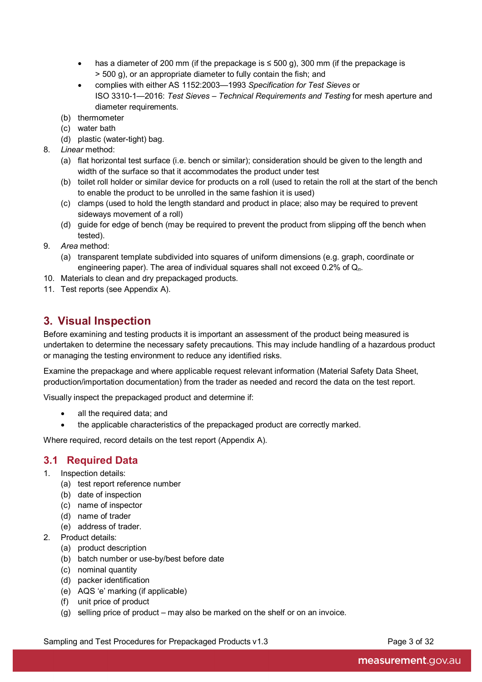- has a diameter of 200 mm (if the prepackage is  $\leq$  500 g), 300 mm (if the prepackage is > 500 g), or an appropriate diameter to fully contain the fish; and
- complies with either AS 1152:2003—1993 *Specification for Test Sieves* or ISO 3310-1—2016: *Test Sieves – Technical Requirements and Testing* for mesh aperture and diameter requirements.
- (b) thermometer
- (c) water bath
- (d) plastic (water-tight) bag.
- 8. *Linear* method:
	- (a) flat horizontal test surface (i.e. bench or similar); consideration should be given to the length and width of the surface so that it accommodates the product under test
	- (b) toilet roll holder or similar device for products on a roll (used to retain the roll at the start of the bench to enable the product to be unrolled in the same fashion it is used)
	- (c) clamps (used to hold the length standard and product in place; also may be required to prevent sideways movement of a roll)
	- (d) guide for edge of bench (may be required to prevent the product from slipping off the bench when tested).
- 9. *Area* method:
	- (a) transparent template subdivided into squares of uniform dimensions (e.g. graph, coordinate or engineering paper). The area of individual squares shall not exceed 0.2% of Q*n*.
- 10. Materials to clean and dry prepackaged products.
- <span id="page-10-0"></span>11. Test reports (see Appendix A).

# **3. Visual Inspection**

Before examining and testing products it is important an assessment of the product being measured is undertaken to determine the necessary safety precautions. This may include handling of a hazardous product or managing the testing environment to reduce any identified risks.

Examine the prepackage and where applicable request relevant information (Material Safety Data Sheet, production/importation documentation) from the trader as needed and record the data on the test report.

Visually inspect the prepackaged product and determine if:

- all the required data; and
- the applicable characteristics of the prepackaged product are correctly marked.

Where required, record details on the test report (Appendix A).

### <span id="page-10-1"></span>**3.1 Required Data**

- 1. Inspection details:
	- (a) test report reference number
	- (b) date of inspection
	- (c) name of inspector
	- (d) name of trader
	- (e) address of trader.
- 2. Product details:
	- (a) product description
	- (b) batch number or use-by/best before date
	- (c) nominal quantity
	- (d) packer identification
	- (e) AQS 'e' marking (if applicable)
	- (f) unit price of product
	- (g) selling price of product may also be marked on the shelf or on an invoice.

Sampling and Test Procedures for Prepackaged Products v1.3 Page 3 of 32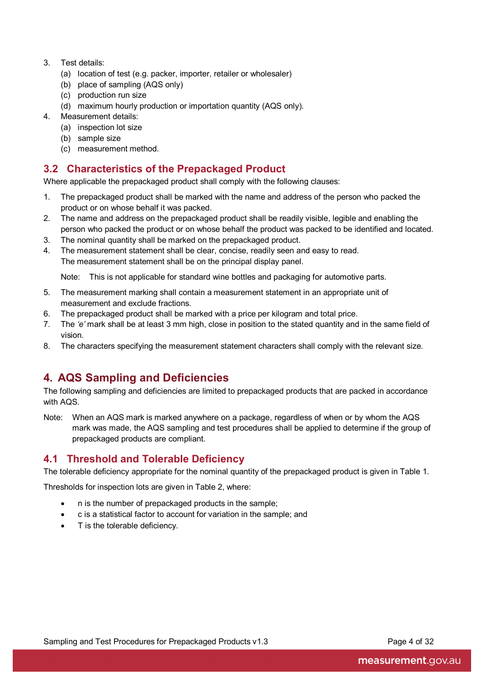- 3. Test details:
	- (a) location of test (e.g. packer, importer, retailer or wholesaler)
	- (b) place of sampling (AQS only)
	- (c) production run size
	- (d) maximum hourly production or importation quantity (AQS only).
- 4. Measurement details:
	- (a) inspection lot size
	- (b) sample size
	- (c) measurement method.

### <span id="page-11-0"></span>**3.2 Characteristics of the Prepackaged Product**

Where applicable the prepackaged product shall comply with the following clauses:

- 1. The prepackaged product shall be marked with the name and address of the person who packed the product or on whose behalf it was packed.
- 2. The name and address on the prepackaged product shall be readily visible, legible and enabling the person who packed the product or on whose behalf the product was packed to be identified and located.
- 3. The nominal quantity shall be marked on the prepackaged product.
- 4. The measurement statement shall be clear, concise, readily seen and easy to read. The measurement statement shall be on the principal display panel.

Note: This is not applicable for standard wine bottles and packaging for automotive parts.

- 5. The measurement marking shall contain a measurement statement in an appropriate unit of measurement and exclude fractions.
- 6. The prepackaged product shall be marked with a price per kilogram and total price.
- 7. The *'e'* mark shall be at least 3 mm high, close in position to the stated quantity and in the same field of vision.
- 8. The characters specifying the measurement statement characters shall comply with the relevant size.

# <span id="page-11-1"></span>**4. AQS Sampling and Deficiencies**

The following sampling and deficiencies are limited to prepackaged products that are packed in accordance with AQS.

Note: When an AQS mark is marked anywhere on a package, regardless of when or by whom the AQS mark was made, the AQS sampling and test procedures shall be applied to determine if the group of prepackaged products are compliant.

### <span id="page-11-2"></span>**4.1 Threshold and Tolerable Deficiency**

The tolerable deficiency appropriate for the nominal quantity of the prepackaged product is given in Table 1.

Thresholds for inspection lots are given in Table 2, where:

- n is the number of prepackaged products in the sample;
- c is a statistical factor to account for variation in the sample; and
- T is the tolerable deficiency.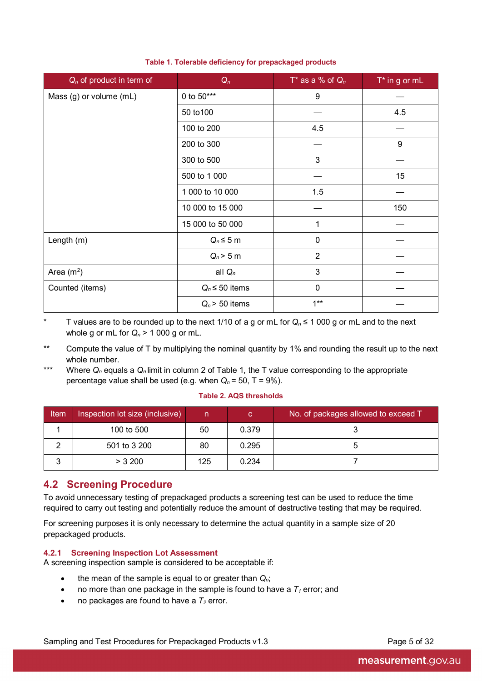| $Q_n$ of product in term of | $Q_n$                 | T* as a % of $Q_n$ | $T^*$ in g or mL |
|-----------------------------|-----------------------|--------------------|------------------|
| Mass (g) or volume (mL)     | 0 to $50***$          | 9                  |                  |
|                             | 50 to 100             |                    | 4.5              |
|                             | 100 to 200            | 4.5                |                  |
|                             | 200 to 300            |                    | 9                |
|                             | 300 to 500            | 3                  |                  |
|                             | 500 to 1 000          |                    | 15               |
|                             | 1 000 to 10 000       | 1.5                |                  |
|                             | 10 000 to 15 000      |                    | 150              |
|                             | 15 000 to 50 000<br>1 |                    |                  |
| Length (m)                  | $Q_n \leq 5$ m        | $\mathbf 0$        |                  |
|                             | $Q_n$ > 5 m           | $\overline{2}$     |                  |
| Area $(m2)$                 | all $Q_n$             | 3                  |                  |
| Counted (items)             | $Q_n \leq 50$ items   | $\mathbf 0$        |                  |
|                             | $Q_n$ > 50 items      | $1***$             |                  |

#### **Table 1. Tolerable deficiency for prepackaged products**

\* T values are to be rounded up to the next 1/10 of a g or mL for *Qn* ≤ 1 000 g or mL and to the next whole g or mL for  $Q_n$  > 1 000 g or mL.

\*\* Compute the value of T by multiplying the nominal quantity by 1% and rounding the result up to the next whole number.

\*\*\* Where *Qn* equals a *Qn* limit in column 2 of Table 1, the T value corresponding to the appropriate percentage value shall be used (e.g. when  $Q_n = 50$ ,  $T = 9\%$ ).

#### **Table 2. AQS thresholds**

| <b>Item</b> | Inspection lot size (inclusive) | n.  | C.    | No. of packages allowed to exceed T |
|-------------|---------------------------------|-----|-------|-------------------------------------|
|             | 100 to 500                      | 50  | 0.379 |                                     |
|             | 501 to 3 200                    | 80  | 0.295 |                                     |
|             | $>$ 3 200                       | 125 | 0.234 |                                     |

### <span id="page-12-0"></span>**4.2 Screening Procedure**

To avoid unnecessary testing of prepackaged products a screening test can be used to reduce the time required to carry out testing and potentially reduce the amount of destructive testing that may be required.

For screening purposes it is only necessary to determine the actual quantity in a sample size of 20 prepackaged products.

#### **4.2.1 Screening Inspection Lot Assessment**

A screening inspection sample is considered to be acceptable if:

- the mean of the sample is equal to or greater than *Qn*;
- no more than one package in the sample is found to have a  $T_1$  error; and
- no packages are found to have a  $T_2$  error.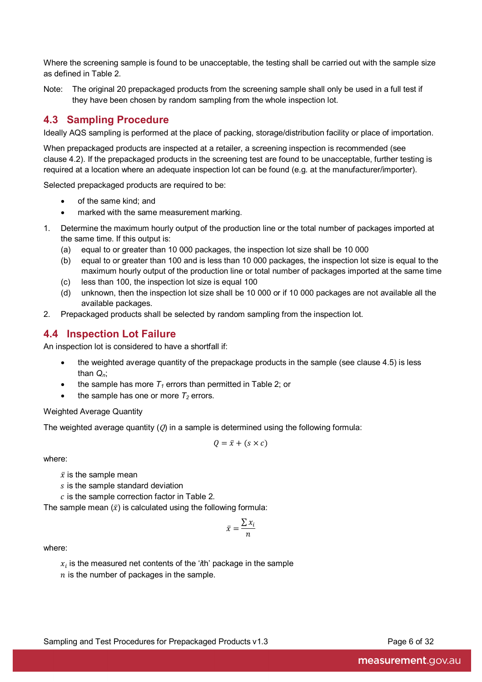Where the screening sample is found to be unacceptable, the testing shall be carried out with the sample size as defined in Table 2.

Note: The original 20 prepackaged products from the screening sample shall only be used in a full test if they have been chosen by random sampling from the whole inspection lot.

### <span id="page-13-0"></span>**4.3 Sampling Procedure**

Ideally AQS sampling is performed at the place of packing, storage/distribution facility or place of importation.

When prepackaged products are inspected at a retailer, a screening inspection is recommended (see clause 4.2). If the prepackaged products in the screening test are found to be unacceptable, further testing is required at a location where an adequate inspection lot can be found (e.g. at the manufacturer/importer).

Selected prepackaged products are required to be:

- of the same kind; and
- marked with the same measurement marking.
- 1. Determine the maximum hourly output of the production line or the total number of packages imported at the same time. If this output is:
	- (a) equal to or greater than 10 000 packages, the inspection lot size shall be 10 000
	- (b) equal to or greater than 100 and is less than 10 000 packages, the inspection lot size is equal to the maximum hourly output of the production line or total number of packages imported at the same time
	- (c) less than 100, the inspection lot size is equal 100
	- (d) unknown, then the inspection lot size shall be 10 000 or if 10 000 packages are not available all the available packages.
- 2. Prepackaged products shall be selected by random sampling from the inspection lot.

### <span id="page-13-1"></span>**4.4 Inspection Lot Failure**

An inspection lot is considered to have a shortfall if:

- the weighted average quantity of the prepackage products in the sample (see clause 4.5) is less than *Qn*;
- the sample has more  $T_1$  errors than permitted in Table 2; or
- the sample has one or more  $T_2$  errors.

#### Weighted Average Quantity

The weighted average quantity  $(Q)$  in a sample is determined using the following formula:

$$
Q = \bar{x} + (s \times c)
$$

where:

- $\bar{x}$  is the sample mean
- $s$  is the sample standard deviation
- $c$  is the sample correction factor in Table 2.

The sample mean  $(\bar{x})$  is calculated using the following formula:

$$
\bar{x} = \frac{\sum x_i}{n}
$$

where:

 $x<sub>i</sub>$  is the measured net contents of the '*th' package in the sample*  $n$  is the number of packages in the sample.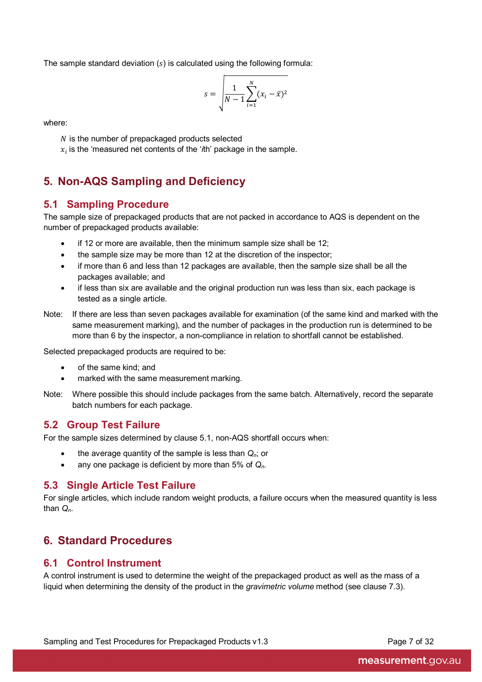The sample standard deviation  $(s)$  is calculated using the following formula:

$$
s = \sqrt{\frac{1}{N-1} \sum_{i=1}^{N} (x_i - \bar{x})^2}
$$

where:

 $N$  is the number of prepackaged products selected

 $x_i$  is the 'measured net contents of the ' $i$ th' package in the sample.

# <span id="page-14-0"></span>**5. Non-AQS Sampling and Deficiency**

### <span id="page-14-1"></span>**5.1 Sampling Procedure**

The sample size of prepackaged products that are not packed in accordance to AQS is dependent on the number of prepackaged products available:

- if 12 or more are available, then the minimum sample size shall be 12;
- the sample size may be more than 12 at the discretion of the inspector;
- if more than 6 and less than 12 packages are available, then the sample size shall be all the packages available; and
- if less than six are available and the original production run was less than six, each package is tested as a single article.
- Note: If there are less than seven packages available for examination (of the same kind and marked with the same measurement marking), and the number of packages in the production run is determined to be more than 6 by the inspector, a non-compliance in relation to shortfall cannot be established.

Selected prepackaged products are required to be:

- of the same kind; and
- marked with the same measurement marking.
- Note: Where possible this should include packages from the same batch. Alternatively, record the separate batch numbers for each package.

### <span id="page-14-2"></span>**5.2 Group Test Failure**

For the sample sizes determined by clause 5.1, non-AQS shortfall occurs when:

- the average quantity of the sample is less than *Qn*; or
- any one package is deficient by more than 5% of *Qn*.

### <span id="page-14-3"></span>**5.3 Single Article Test Failure**

For single articles, which include random weight products, a failure occurs when the measured quantity is less than *Qn*.

# <span id="page-14-4"></span>**6. Standard Procedures**

### <span id="page-14-5"></span>**6.1 Control Instrument**

A control instrument is used to determine the weight of the prepackaged product as well as the mass of a liquid when determining the density of the product in the *gravimetric volume* method (see clause 7.3).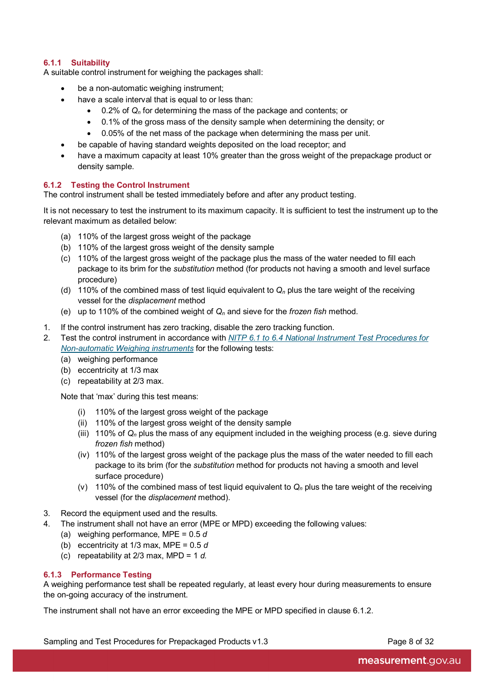#### **6.1.1 Suitability**

A suitable control instrument for weighing the packages shall:

- be a non-automatic weighing instrument;
- have a scale interval that is equal to or less than:
	- 0.2% of *Qn* for determining the mass of the package and contents; or
	- 0.1% of the gross mass of the density sample when determining the density; or
	- 0.05% of the net mass of the package when determining the mass per unit.
- be capable of having standard weights deposited on the load receptor; and
- have a maximum capacity at least 10% greater than the gross weight of the prepackage product or density sample.

#### **6.1.2 Testing the Control Instrument**

The control instrument shall be tested immediately before and after any product testing.

It is not necessary to test the instrument to its maximum capacity. It is sufficient to test the instrument up to the relevant maximum as detailed below:

- (a) 110% of the largest gross weight of the package
- (b) 110% of the largest gross weight of the density sample
- (c) 110% of the largest gross weight of the package plus the mass of the water needed to fill each package to its brim for the *substitution* method (for products not having a smooth and level surface procedure)
- (d) 110% of the combined mass of test liquid equivalent to  $Q_n$  plus the tare weight of the receiving vessel for the *displacement* method
- (e) up to 110% of the combined weight of *Qn* and sieve for the *frozen fish* method.
- 1. If the control instrument has zero tracking, disable the zero tracking function.
- 2. Test the control instrument in accordance with *[NITP 6.1 to 6.4 National Instrument Test Procedures for](http://www.measurement.gov.au/Publications/NMIVDocuments/Pages/default.aspx)  [Non-automatic Weighing instruments](http://www.measurement.gov.au/Publications/NMIVDocuments/Pages/default.aspx)* for the following tests:
	- (a) weighing performance
	- (b) eccentricity at 1/3 max
	- (c) repeatability at 2/3 max.

Note that 'max' during this test means:

- (i) 110% of the largest gross weight of the package
- (ii) 110% of the largest gross weight of the density sample
- (iii) 110% of *Qn* plus the mass of any equipment included in the weighing process (e.g. sieve during *frozen fish* method)
- (iv) 110% of the largest gross weight of the package plus the mass of the water needed to fill each package to its brim (for the *substitution* method for products not having a smooth and level surface procedure)
- (v) 110% of the combined mass of test liquid equivalent to  $Q_n$  plus the tare weight of the receiving vessel (for the *displacement* method).
- 3. Record the equipment used and the results.
- 4. The instrument shall not have an error (MPE or MPD) exceeding the following values:
	- (a) weighing performance, MPE = 0.5 *d*
	- (b) eccentricity at 1/3 max, MPE = 0.5 *d*
	- (c) repeatability at 2/3 max, MPD = 1 *d.*

#### **6.1.3 Performance Testing**

A weighing performance test shall be repeated regularly, at least every hour during measurements to ensure the on-going accuracy of the instrument.

The instrument shall not have an error exceeding the MPE or MPD specified in clause 6.1.2.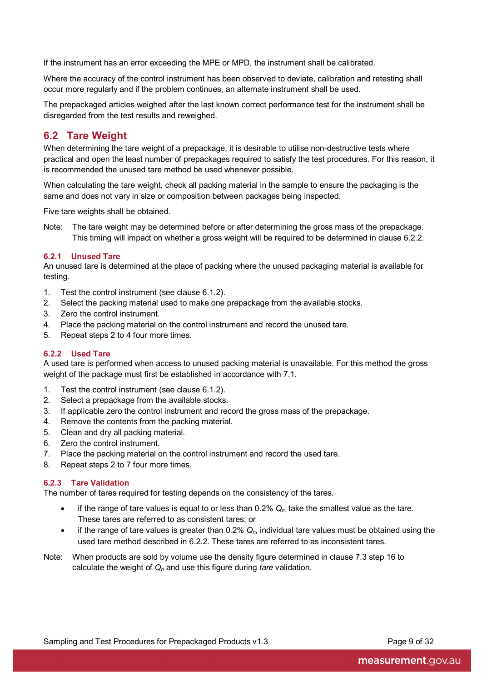If the instrument has an error exceeding the MPE or MPD, the instrument shall be calibrated.

Where the accuracy of the control instrument has been observed to deviate, calibration and retesting shall occur more regularly and if the problem continues, an alternate instrument shall be used.

The prepackaged articles weighed after the last known correct performance test for the instrument shall be disregarded from the test results and reweighed.

### <span id="page-16-0"></span>**6.2 Tare Weight**

When determining the tare weight of a prepackage, it is desirable to utilise non-destructive tests where practical and open the least number of prepackages required to satisfy the test procedures. For this reason, it is recommended the unused tare method be used whenever possible.

When calculating the tare weight, check all packing material in the sample to ensure the packaging is the same and does not vary in size or composition between packages being inspected.

Five tare weights shall be obtained.

Note: The tare weight may be determined before or after determining the gross mass of the prepackage. This timing will impact on whether a gross weight will be required to be determined in clause 6.2.2.

#### **6.2.1 Unused Tare**

An unused tare is determined at the place of packing where the unused packaging material is available for testing.

- 1. Test the control instrument (see clause 6.1.2).
- 2. Select the packing material used to make one prepackage from the available stocks.
- 3. Zero the control instrument.
- 4. Place the packing material on the control instrument and record the unused tare.
- 5. Repeat steps 2 to 4 four more times.

#### **6.2.2 Used Tare**

A used tare is performed when access to unused packing material is unavailable. For this method the gross weight of the package must first be established in accordance with 7.1.

- 1. Test the control instrument (see clause 6.1.2).
- 2. Select a prepackage from the available stocks.
- 3. If applicable zero the control instrument and record the gross mass of the prepackage.
- 4. Remove the contents from the packing material.
- 5. Clean and dry all packing material.
- 6. Zero the control instrument.
- 7. Place the packing material on the control instrument and record the used tare.
- 8. Repeat steps 2 to 7 four more times.

#### **6.2.3 Tare Validation**

The number of tares required for testing depends on the consistency of the tares.

- if the range of tare values is equal to or less than  $0.2\%$   $Q_n$  take the smallest value as the tare. These tares are referred to as consistent tares; or
- if the range of tare values is greater than 0.2% *Qn*, individual tare values must be obtained using the used tare method described in 6.2.2. These tares are referred to as inconsistent tares.
- Note: When products are sold by volume use the density figure determined in clause 7.3 step 16 to calculate the weight of *Qn* and use this figure during *tare* validation.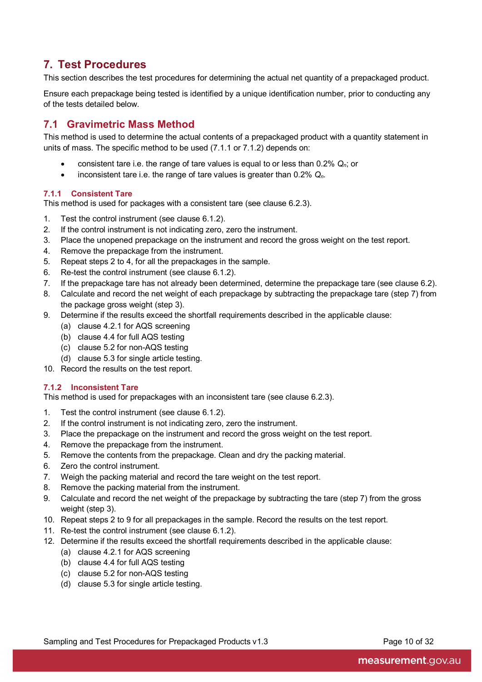# <span id="page-17-0"></span>**7. Test Procedures**

This section describes the test procedures for determining the actual net quantity of a prepackaged product.

Ensure each prepackage being tested is identified by a unique identification number, prior to conducting any of the tests detailed below.

### <span id="page-17-1"></span>**7.1 Gravimetric Mass Method**

This method is used to determine the actual contents of a prepackaged product with a quantity statement in units of mass. The specific method to be used (7.1.1 or 7.1.2) depends on:

- consistent tare i.e. the range of tare values is equal to or less than 0.2% *Qn*; or
- inconsistent tare i.e. the range of tare values is greater than 0.2% *Qn*.

#### **7.1.1 Consistent Tare**

This method is used for packages with a consistent tare (see clause 6.2.3).

- 1. Test the control instrument (see clause 6.1.2).
- 2. If the control instrument is not indicating zero, zero the instrument.
- 3. Place the unopened prepackage on the instrument and record the gross weight on the test report.
- 4. Remove the prepackage from the instrument.
- 5. Repeat steps 2 to 4, for all the prepackages in the sample.
- 6. Re-test the control instrument (see clause 6.1.2).
- 7. If the prepackage tare has not already been determined, determine the prepackage tare (see clause 6.2).
- 8. Calculate and record the net weight of each prepackage by subtracting the prepackage tare (step 7) from the package gross weight (step 3).
- 9. Determine if the results exceed the shortfall requirements described in the applicable clause:
	- (a) clause 4.2.1 for AQS screening
	- (b) clause 4.4 for full AQS testing
	- (c) clause 5.2 for non-AQS testing
	- (d) clause 5.3 for single article testing.
- 10. Record the results on the test report.

#### **7.1.2 Inconsistent Tare**

This method is used for prepackages with an inconsistent tare (see clause 6.2.3).

- 1. Test the control instrument (see clause 6.1.2).
- 2. If the control instrument is not indicating zero, zero the instrument.
- 3. Place the prepackage on the instrument and record the gross weight on the test report.
- 4. Remove the prepackage from the instrument.
- 5. Remove the contents from the prepackage. Clean and dry the packing material.
- 6. Zero the control instrument.
- 7. Weigh the packing material and record the tare weight on the test report.
- 8. Remove the packing material from the instrument.
- 9. Calculate and record the net weight of the prepackage by subtracting the tare (step 7) from the gross weight (step 3).
- 10. Repeat steps 2 to 9 for all prepackages in the sample. Record the results on the test report.
- 11. Re-test the control instrument (see clause 6.1.2).
- 12. Determine if the results exceed the shortfall requirements described in the applicable clause:
	- (a) clause 4.2.1 for AQS screening
	- (b) clause 4.4 for full AQS testing
	- (c) clause 5.2 for non-AQS testing
	- (d) clause 5.3 for single article testing.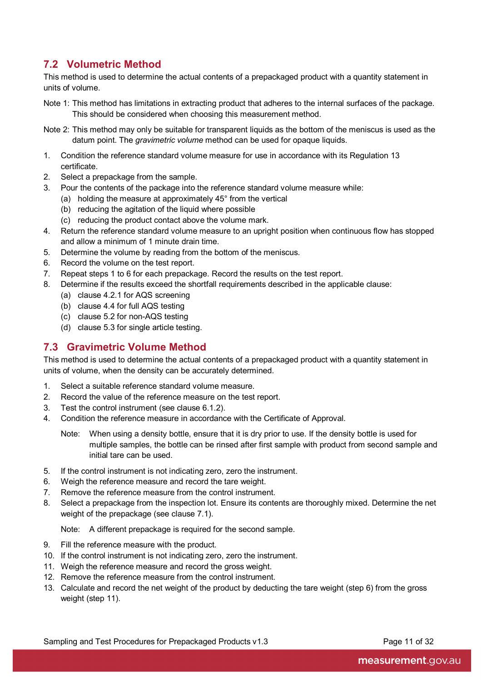# <span id="page-18-0"></span>**7.2 Volumetric Method**

This method is used to determine the actual contents of a prepackaged product with a quantity statement in units of volume.

- Note 1: This method has limitations in extracting product that adheres to the internal surfaces of the package. This should be considered when choosing this measurement method.
- Note 2: This method may only be suitable for transparent liquids as the bottom of the meniscus is used as the datum point. The *gravimetric volume* method can be used for opaque liquids.
- 1. Condition the reference standard volume measure for use in accordance with its Regulation 13 certificate.
- 2. Select a prepackage from the sample.
- 3. Pour the contents of the package into the reference standard volume measure while:
	- (a) holding the measure at approximately 45° from the vertical
	- (b) reducing the agitation of the liquid where possible
	- (c) reducing the product contact above the volume mark.
- 4. Return the reference standard volume measure to an upright position when continuous flow has stopped and allow a minimum of 1 minute drain time.
- 5. Determine the volume by reading from the bottom of the meniscus.
- 6. Record the volume on the test report.
- 7. Repeat steps 1 to 6 for each prepackage. Record the results on the test report.
- 8. Determine if the results exceed the shortfall requirements described in the applicable clause:
	- (a) clause 4.2.1 for AQS screening
	- (b) clause 4.4 for full AQS testing
	- (c) clause 5.2 for non-AQS testing
	- (d) clause 5.3 for single article testing.

### <span id="page-18-1"></span>**7.3 Gravimetric Volume Method**

This method is used to determine the actual contents of a prepackaged product with a quantity statement in units of volume, when the density can be accurately determined.

- 1. Select a suitable reference standard volume measure.
- 2. Record the value of the reference measure on the test report.
- 3. Test the control instrument (see clause 6.1.2).
- 4. Condition the reference measure in accordance with the Certificate of Approval.
	- Note: When using a density bottle, ensure that it is dry prior to use. If the density bottle is used for multiple samples, the bottle can be rinsed after first sample with product from second sample and initial tare can be used.
- 5. If the control instrument is not indicating zero, zero the instrument.
- 6. Weigh the reference measure and record the tare weight.
- 7. Remove the reference measure from the control instrument.
- 8. Select a prepackage from the inspection lot. Ensure its contents are thoroughly mixed. Determine the net weight of the prepackage (see clause 7.1).

Note: A different prepackage is required for the second sample.

- 9. Fill the reference measure with the product.
- 10. If the control instrument is not indicating zero, zero the instrument.
- 11. Weigh the reference measure and record the gross weight.
- 12. Remove the reference measure from the control instrument.
- 13. Calculate and record the net weight of the product by deducting the tare weight (step 6) from the gross weight (step 11).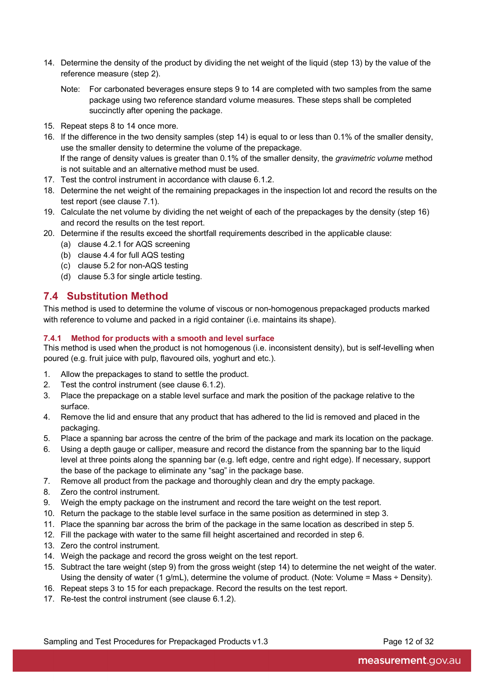- 14. Determine the density of the product by dividing the net weight of the liquid (step 13) by the value of the reference measure (step 2).
	- Note: For carbonated beverages ensure steps 9 to 14 are completed with two samples from the same package using two reference standard volume measures. These steps shall be completed succinctly after opening the package.
- 15. Repeat steps 8 to 14 once more.
- 16. If the difference in the two density samples (step 14) is equal to or less than 0.1% of the smaller density, use the smaller density to determine the volume of the prepackage. If the range of density values is greater than 0.1% of the smaller density, the *gravimetric volume* method is not suitable and an alternative method must be used.
- 17. Test the control instrument in accordance with clause 6.1.2.
- 18. Determine the net weight of the remaining prepackages in the inspection lot and record the results on the test report (see clause 7.1).
- 19. Calculate the net volume by dividing the net weight of each of the prepackages by the density (step 16) and record the results on the test report.
- 20. Determine if the results exceed the shortfall requirements described in the applicable clause:
	- (a) clause 4.2.1 for AQS screening
	- (b) clause 4.4 for full AQS testing
	- (c) clause 5.2 for non-AQS testing
	- (d) clause 5.3 for single article testing.

### <span id="page-19-0"></span>**7.4 Substitution Method**

This method is used to determine the volume of viscous or non-homogenous prepackaged products marked with reference to volume and packed in a rigid container (i.e. maintains its shape).

#### **7.4.1 Method for products with a smooth and level surface**

This method is used when the product is not homogenous (i.e. inconsistent density), but is self-levelling when poured (e.g. fruit juice with pulp, flavoured oils, yoghurt and etc.).

- 1. Allow the prepackages to stand to settle the product.
- 2. Test the control instrument (see clause 6.1.2).
- 3. Place the prepackage on a stable level surface and mark the position of the package relative to the surface.
- 4. Remove the lid and ensure that any product that has adhered to the lid is removed and placed in the packaging.
- 5. Place a spanning bar across the centre of the brim of the package and mark its location on the package.
- 6. Using a depth gauge or calliper, measure and record the distance from the spanning bar to the liquid level at three points along the spanning bar (e.g. left edge, centre and right edge). If necessary, support the base of the package to eliminate any "sag" in the package base.
- 7. Remove all product from the package and thoroughly clean and dry the empty package.
- 8. Zero the control instrument.
- 9. Weigh the empty package on the instrument and record the tare weight on the test report.
- 10. Return the package to the stable level surface in the same position as determined in step 3.
- 11. Place the spanning bar across the brim of the package in the same location as described in step 5.
- 12. Fill the package with water to the same fill height ascertained and recorded in step 6.
- 13. Zero the control instrument.
- 14. Weigh the package and record the gross weight on the test report.
- 15. Subtract the tare weight (step 9) from the gross weight (step 14) to determine the net weight of the water. Using the density of water (1 g/mL), determine the volume of product. (Note: Volume = Mass ÷ Density).
- 16. Repeat steps 3 to 15 for each prepackage. Record the results on the test report.
- 17. Re-test the control instrument (see clause 6.1.2).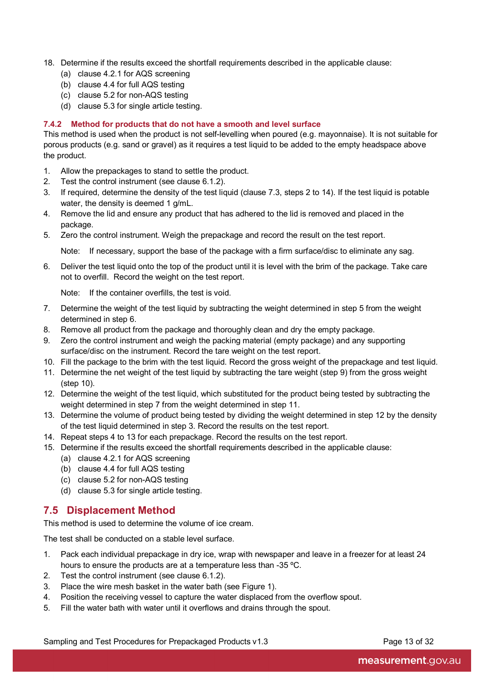- 18. Determine if the results exceed the shortfall requirements described in the applicable clause:
	- (a) clause 4.2.1 for AQS screening
	- (b) clause 4.4 for full AQS testing
	- (c) clause 5.2 for non-AQS testing
	- (d) clause 5.3 for single article testing.

#### **7.4.2 Method for products that do not have a smooth and level surface**

This method is used when the product is not self-levelling when poured (e.g. mayonnaise). It is not suitable for porous products (e.g. sand or gravel) as it requires a test liquid to be added to the empty headspace above the product.

- 1. Allow the prepackages to stand to settle the product.
- 2. Test the control instrument (see clause 6.1.2).
- 3. If required, determine the density of the test liquid (clause 7.3, steps 2 to 14). If the test liquid is potable water, the density is deemed 1 g/mL.
- 4. Remove the lid and ensure any product that has adhered to the lid is removed and placed in the package.
- 5. Zero the control instrument. Weigh the prepackage and record the result on the test report.

Note: If necessary, support the base of the package with a firm surface/disc to eliminate any sag.

6. Deliver the test liquid onto the top of the product until it is level with the brim of the package. Take care not to overfill. Record the weight on the test report.

Note: If the container overfills, the test is void.

- 7. Determine the weight of the test liquid by subtracting the weight determined in step 5 from the weight determined in step 6.
- 8. Remove all product from the package and thoroughly clean and dry the empty package.
- 9. Zero the control instrument and weigh the packing material (empty package) and any supporting surface/disc on the instrument. Record the tare weight on the test report.
- 10. Fill the package to the brim with the test liquid. Record the gross weight of the prepackage and test liquid.
- 11. Determine the net weight of the test liquid by subtracting the tare weight (step 9) from the gross weight (step 10).
- 12. Determine the weight of the test liquid, which substituted for the product being tested by subtracting the weight determined in step 7 from the weight determined in step 11.
- 13. Determine the volume of product being tested by dividing the weight determined in step 12 by the density of the test liquid determined in step 3. Record the results on the test report.
- 14. Repeat steps 4 to 13 for each prepackage. Record the results on the test report.
- 15. Determine if the results exceed the shortfall requirements described in the applicable clause:
	- (a) clause 4.2.1 for AQS screening
	- (b) clause 4.4 for full AQS testing
	- (c) clause 5.2 for non-AQS testing
	- (d) clause 5.3 for single article testing.

### <span id="page-20-0"></span>**7.5 Displacement Method**

This method is used to determine the volume of ice cream.

The test shall be conducted on a stable level surface.

- 1. Pack each individual prepackage in dry ice, wrap with newspaper and leave in a freezer for at least 24 hours to ensure the products are at a temperature less than -35 ºC.
- 2. Test the control instrument (see clause 6.1.2).
- 3. Place the wire mesh basket in the water bath (see Figure 1).
- 4. Position the receiving vessel to capture the water displaced from the overflow spout.
- 5. Fill the water bath with water until it overflows and drains through the spout.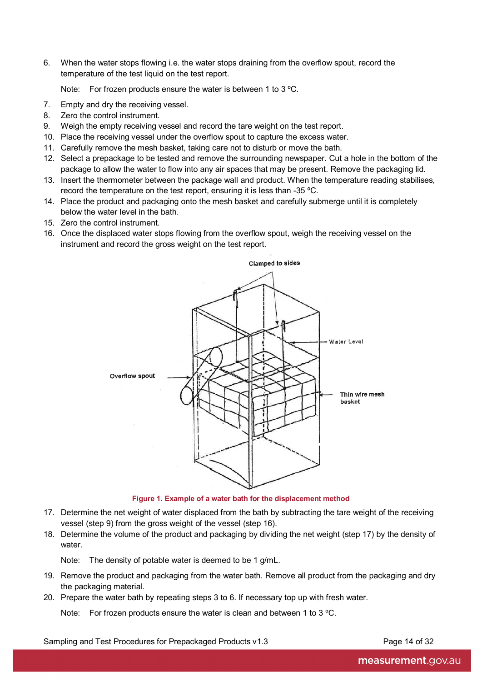6. When the water stops flowing i.e. the water stops draining from the overflow spout, record the temperature of the test liquid on the test report.

Note: For frozen products ensure the water is between 1 to 3 ºC.

- 7. Empty and dry the receiving vessel.
- 8. Zero the control instrument.
- 9. Weigh the empty receiving vessel and record the tare weight on the test report.
- 10. Place the receiving vessel under the overflow spout to capture the excess water.
- 11. Carefully remove the mesh basket, taking care not to disturb or move the bath.
- 12. Select a prepackage to be tested and remove the surrounding newspaper. Cut a hole in the bottom of the package to allow the water to flow into any air spaces that may be present. Remove the packaging lid.
- 13. Insert the thermometer between the package wall and product. When the temperature reading stabilises, record the temperature on the test report, ensuring it is less than -35 ºC.
- 14. Place the product and packaging onto the mesh basket and carefully submerge until it is completely below the water level in the bath.
- 15. Zero the control instrument.
- 16. Once the displaced water stops flowing from the overflow spout, weigh the receiving vessel on the instrument and record the gross weight on the test report.



**Figure 1. Example of a water bath for the displacement method**

- 17. Determine the net weight of water displaced from the bath by subtracting the tare weight of the receiving vessel (step 9) from the gross weight of the vessel (step 16).
- 18. Determine the volume of the product and packaging by dividing the net weight (step 17) by the density of water.

Note: The density of potable water is deemed to be 1 g/mL.

- 19. Remove the product and packaging from the water bath. Remove all product from the packaging and dry the packaging material.
- 20. Prepare the water bath by repeating steps 3 to 6. If necessary top up with fresh water.

Note: For frozen products ensure the water is clean and between 1 to 3 °C.

#### Sampling and Test Procedures for Prepackaged Products v1.3 Page 14 of 32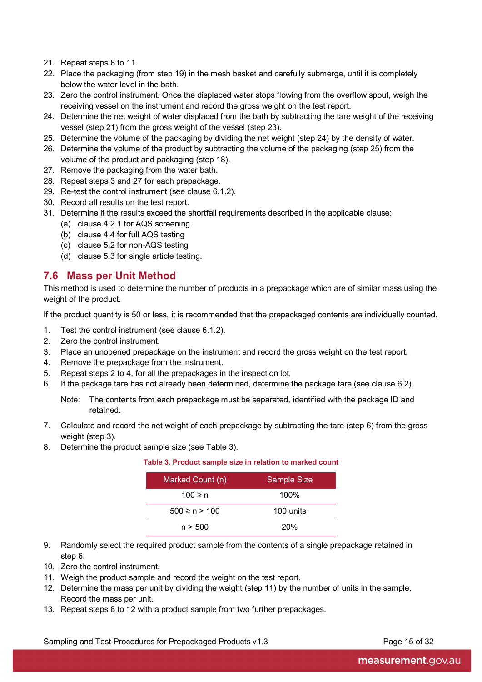- 21. Repeat steps 8 to 11.
- 22. Place the packaging (from step 19) in the mesh basket and carefully submerge, until it is completely below the water level in the bath.
- 23. Zero the control instrument. Once the displaced water stops flowing from the overflow spout, weigh the receiving vessel on the instrument and record the gross weight on the test report.
- 24. Determine the net weight of water displaced from the bath by subtracting the tare weight of the receiving vessel (step 21) from the gross weight of the vessel (step 23).
- 25. Determine the volume of the packaging by dividing the net weight (step 24) by the density of water.
- 26. Determine the volume of the product by subtracting the volume of the packaging (step 25) from the volume of the product and packaging (step 18).
- 27. Remove the packaging from the water bath.
- 28. Repeat steps 3 and 27 for each prepackage.
- 29. Re-test the control instrument (see clause 6.1.2).
- 30. Record all results on the test report.
- 31. Determine if the results exceed the shortfall requirements described in the applicable clause:
	- (a) clause 4.2.1 for AQS screening
	- (b) clause 4.4 for full AQS testing
	- (c) clause 5.2 for non-AQS testing
	- (d) clause 5.3 for single article testing.

### <span id="page-22-0"></span>**7.6 Mass per Unit Method**

This method is used to determine the number of products in a prepackage which are of similar mass using the weight of the product.

If the product quantity is 50 or less, it is recommended that the prepackaged contents are individually counted.

- 1. Test the control instrument (see clause 6.1.2).
- 2. Zero the control instrument.
- 3. Place an unopened prepackage on the instrument and record the gross weight on the test report.
- 4. Remove the prepackage from the instrument.
- 5. Repeat steps 2 to 4, for all the prepackages in the inspection lot.
- 6. If the package tare has not already been determined, determine the package tare (see clause 6.2).
	- Note: The contents from each prepackage must be separated, identified with the package ID and retained.
- 7. Calculate and record the net weight of each prepackage by subtracting the tare (step 6) from the gross weight (step 3).
- 8. Determine the product sample size (see Table 3).

#### **Table 3. Product sample size in relation to marked count**

| Marked Count (n)  | <b>Sample Size</b> |
|-------------------|--------------------|
| 100 ≥ n           | $100\%$            |
| $500 \ge n > 100$ | 100 units          |
| n > 500           | <b>20%</b>         |

- 9. Randomly select the required product sample from the contents of a single prepackage retained in step 6.
- 10. Zero the control instrument.
- 11. Weigh the product sample and record the weight on the test report.
- 12. Determine the mass per unit by dividing the weight (step 11) by the number of units in the sample. Record the mass per unit.
- 13. Repeat steps 8 to 12 with a product sample from two further prepackages.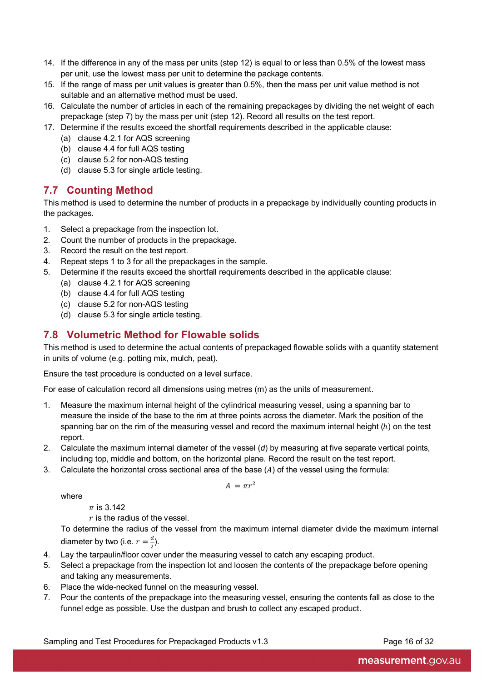- 14. If the difference in any of the mass per units (step 12) is equal to or less than 0.5% of the lowest mass per unit, use the lowest mass per unit to determine the package contents.
- 15. If the range of mass per unit values is greater than 0.5%, then the mass per unit value method is not suitable and an alternative method must be used.
- 16. Calculate the number of articles in each of the remaining prepackages by dividing the net weight of each prepackage (step 7) by the mass per unit (step 12). Record all results on the test report.
- 17. Determine if the results exceed the shortfall requirements described in the applicable clause:
	- (a) clause 4.2.1 for AQS screening
	- (b) clause 4.4 for full AQS testing
	- (c) clause 5.2 for non-AQS testing
	- (d) clause 5.3 for single article testing.

## <span id="page-23-0"></span>**7.7 Counting Method**

This method is used to determine the number of products in a prepackage by individually counting products in the packages.

- 1. Select a prepackage from the inspection lot.
- 2. Count the number of products in the prepackage.
- 3. Record the result on the test report.
- 4. Repeat steps 1 to 3 for all the prepackages in the sample.
- 5. Determine if the results exceed the shortfall requirements described in the applicable clause:
	- (a) clause 4.2.1 for AQS screening
	- (b) clause 4.4 for full AQS testing
	- (c) clause 5.2 for non-AQS testing
	- (d) clause 5.3 for single article testing.

## <span id="page-23-1"></span>**7.8 Volumetric Method for Flowable solids**

This method is used to determine the actual contents of prepackaged flowable solids with a quantity statement in units of volume (e.g. potting mix, mulch, peat).

Ensure the test procedure is conducted on a level surface.

For ease of calculation record all dimensions using metres (m) as the units of measurement.

- 1. Measure the maximum internal height of the cylindrical measuring vessel, using a spanning bar to measure the inside of the base to the rim at three points across the diameter. Mark the position of the spanning bar on the rim of the measuring vessel and record the maximum internal height  $(h)$  on the test report.
- 2. Calculate the maximum internal diameter of the vessel (*d*) by measuring at five separate vertical points, including top, middle and bottom, on the horizontal plane. Record the result on the test report.
- 3. Calculate the horizontal cross sectional area of the base  $(A)$  of the vessel using the formula:

$$
A = \pi r^2
$$

where

 $\pi$  is 3.142

 $r$  is the radius of the vessel.

To determine the radius of the vessel from the maximum internal diameter divide the maximum internal diameter by two (i.e.  $r = \frac{a}{2}$ ).

- 4. Lay the tarpaulin/floor cover under the measuring vessel to catch any escaping product.
- 5. Select a prepackage from the inspection lot and loosen the contents of the prepackage before opening and taking any measurements.
- 6. Place the wide-necked funnel on the measuring vessel.
- 7. Pour the contents of the prepackage into the measuring vessel, ensuring the contents fall as close to the funnel edge as possible. Use the dustpan and brush to collect any escaped product.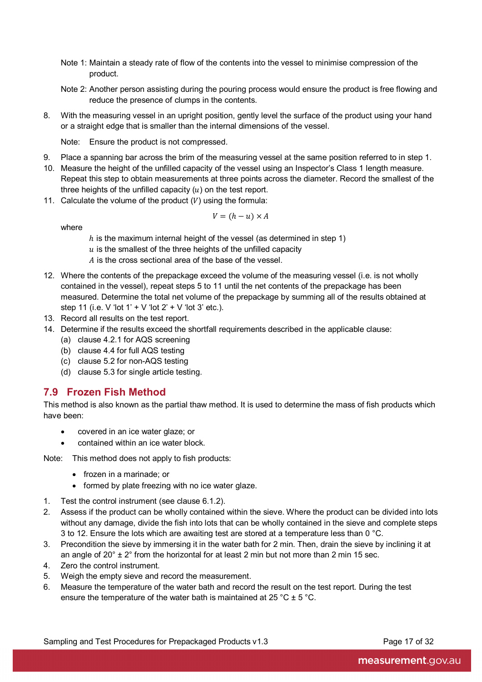- Note 1: Maintain a steady rate of flow of the contents into the vessel to minimise compression of the product.
- Note 2: Another person assisting during the pouring process would ensure the product is free flowing and reduce the presence of clumps in the contents.
- 8. With the measuring vessel in an upright position, gently level the surface of the product using your hand or a straight edge that is smaller than the internal dimensions of the vessel.

Note: Ensure the product is not compressed.

- 9. Place a spanning bar across the brim of the measuring vessel at the same position referred to in step 1.
- 10. Measure the height of the unfilled capacity of the vessel using an Inspector's Class 1 length measure. Repeat this step to obtain measurements at three points across the diameter. Record the smallest of the three heights of the unfilled capacity  $(u)$  on the test report.
- 11. Calculate the volume of the product  $(V)$  using the formula:

$$
V = (h - u) \times A
$$

where

 $h$  is the maximum internal height of the vessel (as determined in step 1)

 $u$  is the smallest of the three heights of the unfilled capacity

- A is the cross sectional area of the base of the vessel.
- 12. Where the contents of the prepackage exceed the volume of the measuring vessel (i.e. is not wholly contained in the vessel), repeat steps 5 to 11 until the net contents of the prepackage has been measured. Determine the total net volume of the prepackage by summing all of the results obtained at step 11 (i.e. V 'lot  $1' + V$  'lot  $2' + V$  'lot  $3'$  etc.).
- 13. Record all results on the test report.
- 14. Determine if the results exceed the shortfall requirements described in the applicable clause:
	- (a) clause 4.2.1 for AQS screening
	- (b) clause 4.4 for full AQS testing
	- (c) clause 5.2 for non-AQS testing
	- (d) clause 5.3 for single article testing.

### <span id="page-24-0"></span>**7.9 Frozen Fish Method**

This method is also known as the partial thaw method. It is used to determine the mass of fish products which have been:

- covered in an ice water glaze; or
- contained within an ice water block.

Note: This method does not apply to fish products:

- frozen in a marinade; or
- formed by plate freezing with no ice water glaze.
- 1. Test the control instrument (see clause 6.1.2).
- 2. Assess if the product can be wholly contained within the sieve. Where the product can be divided into lots without any damage, divide the fish into lots that can be wholly contained in the sieve and complete steps 3 to 12. Ensure the lots which are awaiting test are stored at a temperature less than 0  $^{\circ}$ C.
- 3. Precondition the sieve by immersing it in the water bath for 2 min. Then, drain the sieve by inclining it at an angle of  $20^{\circ}$  +  $2^{\circ}$  from the horizontal for at least 2 min but not more than 2 min 15 sec.
- 4. Zero the control instrument.
- 5. Weigh the empty sieve and record the measurement.
- 6. Measure the temperature of the water bath and record the result on the test report. During the test ensure the temperature of the water bath is maintained at 25 °C  $\pm$  5 °C.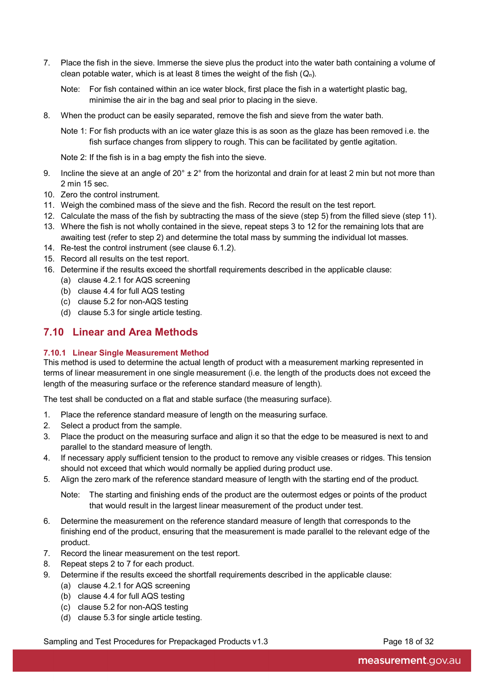- 7. Place the fish in the sieve. Immerse the sieve plus the product into the water bath containing a volume of clean potable water, which is at least 8 times the weight of the fish (*Qn*).
	- Note: For fish contained within an ice water block, first place the fish in a watertight plastic bag, minimise the air in the bag and seal prior to placing in the sieve.
- 8. When the product can be easily separated, remove the fish and sieve from the water bath.

Note 1: For fish products with an ice water glaze this is as soon as the glaze has been removed i.e. the fish surface changes from slippery to rough. This can be facilitated by gentle agitation.

Note 2: If the fish is in a bag empty the fish into the sieve.

- 9. Incline the sieve at an angle of  $20^{\circ} \pm 2^{\circ}$  from the horizontal and drain for at least 2 min but not more than 2 min 15 sec.
- 10. Zero the control instrument.
- 11. Weigh the combined mass of the sieve and the fish. Record the result on the test report.
- 12. Calculate the mass of the fish by subtracting the mass of the sieve (step 5) from the filled sieve (step 11).
- 13. Where the fish is not wholly contained in the sieve, repeat steps 3 to 12 for the remaining lots that are awaiting test (refer to step 2) and determine the total mass by summing the individual lot masses.
- 14. Re-test the control instrument (see clause 6.1.2).
- 15. Record all results on the test report.
- 16. Determine if the results exceed the shortfall requirements described in the applicable clause:
	- (a) clause 4.2.1 for AQS screening
		- (b) clause 4.4 for full AQS testing
		- (c) clause 5.2 for non-AQS testing
	- (d) clause 5.3 for single article testing.

### <span id="page-25-0"></span>**7.10 Linear and Area Methods**

#### **7.10.1 Linear Single Measurement Method**

This method is used to determine the actual length of product with a measurement marking represented in terms of linear measurement in one single measurement (i.e. the length of the products does not exceed the length of the measuring surface or the reference standard measure of length).

The test shall be conducted on a flat and stable surface (the measuring surface).

- 1. Place the reference standard measure of length on the measuring surface.
- 2. Select a product from the sample.
- 3. Place the product on the measuring surface and align it so that the edge to be measured is next to and parallel to the standard measure of length.
- 4. If necessary apply sufficient tension to the product to remove any visible creases or ridges. This tension should not exceed that which would normally be applied during product use.
- 5. Align the zero mark of the reference standard measure of length with the starting end of the product.
	- Note: The starting and finishing ends of the product are the outermost edges or points of the product that would result in the largest linear measurement of the product under test.
- 6. Determine the measurement on the reference standard measure of length that corresponds to the finishing end of the product, ensuring that the measurement is made parallel to the relevant edge of the product.
- 7. Record the linear measurement on the test report.
- 8. Repeat steps 2 to 7 for each product.
- 9. Determine if the results exceed the shortfall requirements described in the applicable clause:
	- (a) clause 4.2.1 for AQS screening
	- (b) clause 4.4 for full AQS testing
	- (c) clause 5.2 for non-AQS testing
	- (d) clause 5.3 for single article testing.

Sampling and Test Procedures for Prepackaged Products v1.3 Page 18 of 32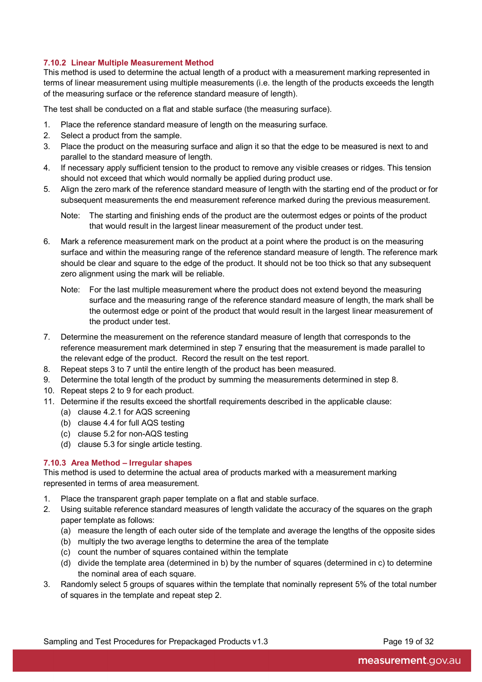#### **7.10.2 Linear Multiple Measurement Method**

This method is used to determine the actual length of a product with a measurement marking represented in terms of linear measurement using multiple measurements (i.e. the length of the products exceeds the length of the measuring surface or the reference standard measure of length).

The test shall be conducted on a flat and stable surface (the measuring surface).

- 1. Place the reference standard measure of length on the measuring surface.
- 2. Select a product from the sample.
- 3. Place the product on the measuring surface and align it so that the edge to be measured is next to and parallel to the standard measure of length.
- 4. If necessary apply sufficient tension to the product to remove any visible creases or ridges. This tension should not exceed that which would normally be applied during product use.
- 5. Align the zero mark of the reference standard measure of length with the starting end of the product or for subsequent measurements the end measurement reference marked during the previous measurement.

Note: The starting and finishing ends of the product are the outermost edges or points of the product that would result in the largest linear measurement of the product under test.

- 6. Mark a reference measurement mark on the product at a point where the product is on the measuring surface and within the measuring range of the reference standard measure of length. The reference mark should be clear and square to the edge of the product. It should not be too thick so that any subsequent zero alignment using the mark will be reliable.
	- Note: For the last multiple measurement where the product does not extend beyond the measuring surface and the measuring range of the reference standard measure of length, the mark shall be the outermost edge or point of the product that would result in the largest linear measurement of the product under test.
- 7. Determine the measurement on the reference standard measure of length that corresponds to the reference measurement mark determined in step 7 ensuring that the measurement is made parallel to the relevant edge of the product. Record the result on the test report.
- 8. Repeat steps 3 to 7 until the entire length of the product has been measured.
- 9. Determine the total length of the product by summing the measurements determined in step 8.
- 10. Repeat steps 2 to 9 for each product.
- 11. Determine if the results exceed the shortfall requirements described in the applicable clause:
	- (a) clause 4.2.1 for AQS screening
	- (b) clause 4.4 for full AQS testing
	- (c) clause 5.2 for non-AQS testing
	- (d) clause 5.3 for single article testing.

#### **7.10.3 Area Method – Irregular shapes**

This method is used to determine the actual area of products marked with a measurement marking represented in terms of area measurement.

- 1. Place the transparent graph paper template on a flat and stable surface.
- 2. Using suitable reference standard measures of length validate the accuracy of the squares on the graph paper template as follows:
	- (a) measure the length of each outer side of the template and average the lengths of the opposite sides
	- (b) multiply the two average lengths to determine the area of the template
	- (c) count the number of squares contained within the template
	- (d) divide the template area (determined in b) by the number of squares (determined in c) to determine the nominal area of each square.
- 3. Randomly select 5 groups of squares within the template that nominally represent 5% of the total number of squares in the template and repeat step 2.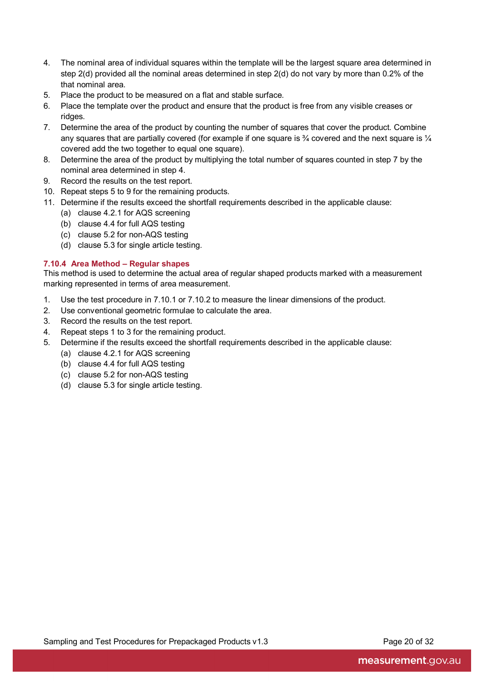- 4. The nominal area of individual squares within the template will be the largest square area determined in step 2(d) provided all the nominal areas determined in step 2(d) do not vary by more than 0.2% of the that nominal area.
- 5. Place the product to be measured on a flat and stable surface.
- 6. Place the template over the product and ensure that the product is free from any visible creases or ridges.
- 7. Determine the area of the product by counting the number of squares that cover the product. Combine any squares that are partially covered (for example if one square is  $\frac{3}{4}$  covered and the next square is  $\frac{1}{4}$ covered add the two together to equal one square).
- 8. Determine the area of the product by multiplying the total number of squares counted in step 7 by the nominal area determined in step 4.
- 9. Record the results on the test report.
- 10. Repeat steps 5 to 9 for the remaining products.
- 11. Determine if the results exceed the shortfall requirements described in the applicable clause:
	- (a) clause 4.2.1 for AQS screening
	- (b) clause 4.4 for full AQS testing
	- (c) clause 5.2 for non-AQS testing
	- (d) clause 5.3 for single article testing.

#### **7.10.4 Area Method – Regular shapes**

This method is used to determine the actual area of regular shaped products marked with a measurement marking represented in terms of area measurement.

- 1. Use the test procedure in 7.10.1 or 7.10.2 to measure the linear dimensions of the product.
- 2. Use conventional geometric formulae to calculate the area.
- 3. Record the results on the test report.
- 4. Repeat steps 1 to 3 for the remaining product.
- 5. Determine if the results exceed the shortfall requirements described in the applicable clause:
	- (a) clause 4.2.1 for AQS screening
	- (b) clause 4.4 for full AQS testing
	- (c) clause 5.2 for non-AQS testing
	- (d) clause 5.3 for single article testing.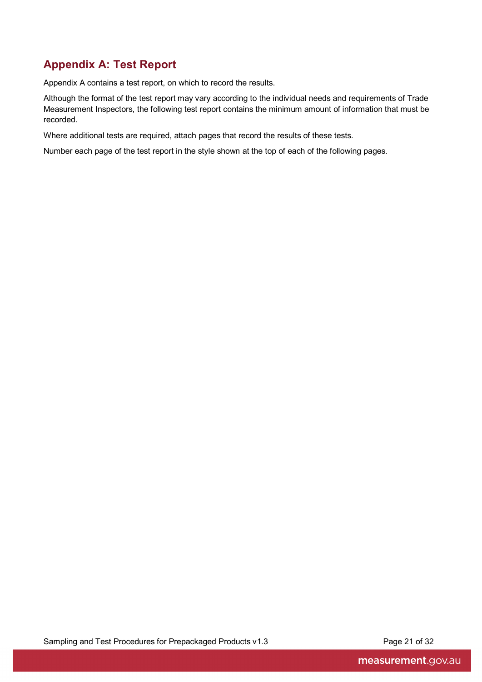# <span id="page-28-0"></span>**Appendix A: Test Report**

Appendix A contains a test report, on which to record the results.

Although the format of the test report may vary according to the individual needs and requirements of Trade Measurement Inspectors, the following test report contains the minimum amount of information that must be recorded.

Where additional tests are required, attach pages that record the results of these tests.

Number each page of the test report in the style shown at the top of each of the following pages.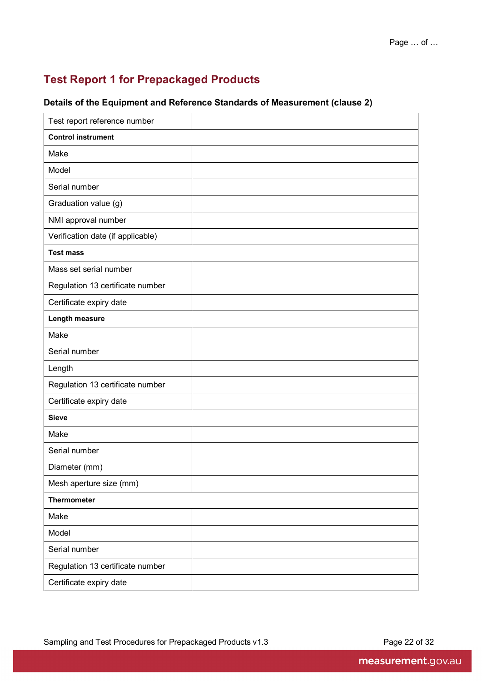# <span id="page-29-0"></span>**Test Report 1 for Prepackaged Products**

### **Details of the Equipment and Reference Standards of Measurement (clause 2)**

| Test report reference number      |  |
|-----------------------------------|--|
| <b>Control instrument</b>         |  |
| Make                              |  |
| Model                             |  |
| Serial number                     |  |
| Graduation value (g)              |  |
| NMI approval number               |  |
| Verification date (if applicable) |  |
| <b>Test mass</b>                  |  |
| Mass set serial number            |  |
| Regulation 13 certificate number  |  |
| Certificate expiry date           |  |
| Length measure                    |  |
| Make                              |  |
| Serial number                     |  |
| Length                            |  |
| Regulation 13 certificate number  |  |
| Certificate expiry date           |  |
| <b>Sieve</b>                      |  |
| Make                              |  |
| Serial number                     |  |
| Diameter (mm)                     |  |
| Mesh aperture size (mm)           |  |
| <b>Thermometer</b>                |  |
| Make                              |  |
| Model                             |  |
| Serial number                     |  |
| Regulation 13 certificate number  |  |
| Certificate expiry date           |  |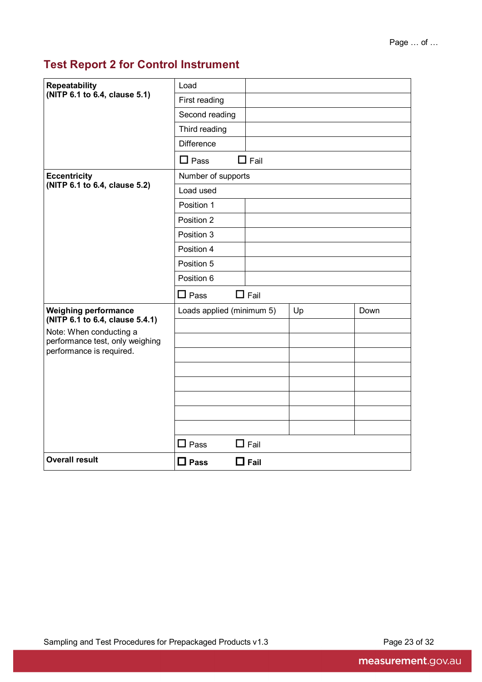# <span id="page-30-0"></span>**Test Report 2 for Control Instrument**

| <b>Repeatability</b>                                           | Load                      |                  |    |      |
|----------------------------------------------------------------|---------------------------|------------------|----|------|
| (NITP 6.1 to 6.4, clause 5.1)                                  | First reading             |                  |    |      |
|                                                                | Second reading            |                  |    |      |
|                                                                | Third reading             |                  |    |      |
|                                                                | <b>Difference</b>         |                  |    |      |
|                                                                | $\Box$ Pass               | $\Box$ Fail      |    |      |
| <b>Eccentricity</b>                                            | Number of supports        |                  |    |      |
| (NITP 6.1 to 6.4, clause 5.2)                                  | Load used                 |                  |    |      |
|                                                                | Position 1                |                  |    |      |
|                                                                | Position 2                |                  |    |      |
|                                                                | Position 3                |                  |    |      |
|                                                                | Position 4                |                  |    |      |
|                                                                | Position 5                |                  |    |      |
|                                                                | Position 6                |                  |    |      |
|                                                                | $\Box$ Pass               | $\Box$ Fail      |    |      |
| <b>Weighing performance</b><br>(NITP 6.1 to 6.4, clause 5.4.1) | Loads applied (minimum 5) |                  | Up | Down |
| Note: When conducting a                                        |                           |                  |    |      |
| performance test, only weighing<br>performance is required.    |                           |                  |    |      |
|                                                                |                           |                  |    |      |
|                                                                |                           |                  |    |      |
|                                                                |                           |                  |    |      |
|                                                                |                           |                  |    |      |
|                                                                |                           |                  |    |      |
|                                                                |                           |                  |    |      |
|                                                                | $\Box$ Pass               | $\mathsf I$ Fail |    |      |
| <b>Overall result</b>                                          | $\square$ Pass            | $\square$ Fail   |    |      |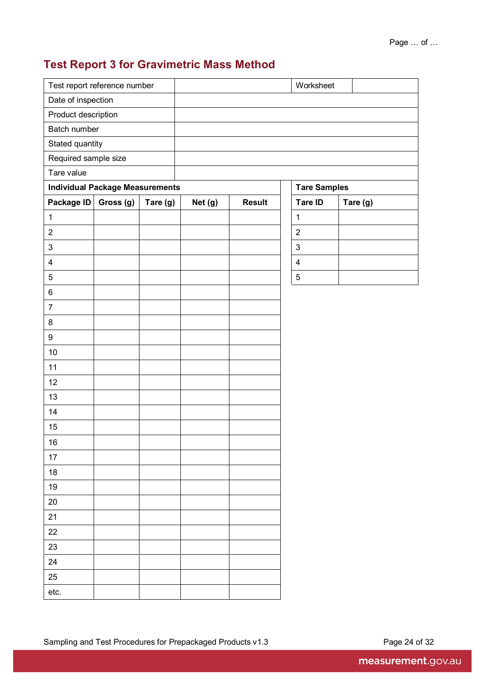# <span id="page-31-0"></span>**Test Report 3 for Gravimetric Mass Method**

| Test report reference number |                                        |          |         |               | Worksheet               |          |  |
|------------------------------|----------------------------------------|----------|---------|---------------|-------------------------|----------|--|
| Date of inspection           |                                        |          |         |               |                         |          |  |
| Product description          |                                        |          |         |               |                         |          |  |
| Batch number                 |                                        |          |         |               |                         |          |  |
| Stated quantity              |                                        |          |         |               |                         |          |  |
| Required sample size         |                                        |          |         |               |                         |          |  |
| Tare value                   |                                        |          |         |               |                         |          |  |
|                              | <b>Individual Package Measurements</b> |          |         |               | <b>Tare Samples</b>     |          |  |
| Package ID                   | Gross (g)                              | Tare (g) | Net (g) | <b>Result</b> | Tare ID                 | Tare (g) |  |
| $\mathbf{1}$                 |                                        |          |         |               | $\mathbf{1}$            |          |  |
| $\overline{2}$               |                                        |          |         |               | $\boldsymbol{2}$        |          |  |
| $\mathbf{3}$                 |                                        |          |         |               | $\mathfrak{S}$          |          |  |
| $\overline{\mathbf{4}}$      |                                        |          |         |               | $\overline{\mathbf{4}}$ |          |  |
| $\mathbf 5$                  |                                        |          |         |               | $\mathbf 5$             |          |  |
| $\,6$                        |                                        |          |         |               |                         |          |  |
| $\overline{7}$               |                                        |          |         |               |                         |          |  |
| $\bf 8$                      |                                        |          |         |               |                         |          |  |
| $\boldsymbol{9}$             |                                        |          |         |               |                         |          |  |
| 10                           |                                        |          |         |               |                         |          |  |
| 11                           |                                        |          |         |               |                         |          |  |
| 12                           |                                        |          |         |               |                         |          |  |
| 13                           |                                        |          |         |               |                         |          |  |
| 14                           |                                        |          |         |               |                         |          |  |
| 15                           |                                        |          |         |               |                         |          |  |
| 16                           |                                        |          |         |               |                         |          |  |
| 17                           |                                        |          |         |               |                         |          |  |
| $18\,$                       |                                        |          |         |               |                         |          |  |
| 19                           |                                        |          |         |               |                         |          |  |
| 20                           |                                        |          |         |               |                         |          |  |
| 21                           |                                        |          |         |               |                         |          |  |
| 22                           |                                        |          |         |               |                         |          |  |
| 23                           |                                        |          |         |               |                         |          |  |
| 24                           |                                        |          |         |               |                         |          |  |
| 25                           |                                        |          |         |               |                         |          |  |
|                              |                                        |          |         |               |                         |          |  |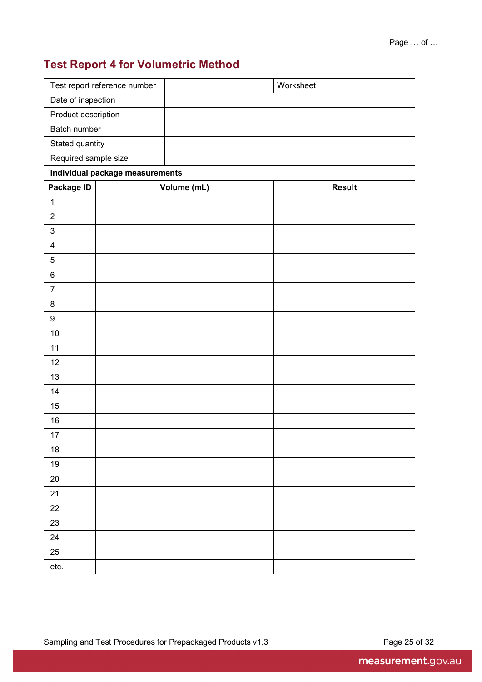# <span id="page-32-0"></span>**Test Report 4 for Volumetric Method**

|                                 | Test report reference number |             |  | Worksheet     |  |  |  |  |  |
|---------------------------------|------------------------------|-------------|--|---------------|--|--|--|--|--|
| Date of inspection              |                              |             |  |               |  |  |  |  |  |
| Product description             |                              |             |  |               |  |  |  |  |  |
| <b>Batch number</b>             |                              |             |  |               |  |  |  |  |  |
|                                 | Stated quantity              |             |  |               |  |  |  |  |  |
|                                 | Required sample size         |             |  |               |  |  |  |  |  |
| Individual package measurements |                              |             |  |               |  |  |  |  |  |
| Package ID                      |                              | Volume (mL) |  | <b>Result</b> |  |  |  |  |  |
| $\mathbf 1$                     |                              |             |  |               |  |  |  |  |  |
| $\overline{2}$                  |                              |             |  |               |  |  |  |  |  |
| $\sqrt{3}$                      |                              |             |  |               |  |  |  |  |  |
| $\overline{\mathbf{4}}$         |                              |             |  |               |  |  |  |  |  |
| $\mathbf 5$                     |                              |             |  |               |  |  |  |  |  |
| $\,6\,$                         |                              |             |  |               |  |  |  |  |  |
| $\boldsymbol{7}$                |                              |             |  |               |  |  |  |  |  |
| $\bf 8$                         |                              |             |  |               |  |  |  |  |  |
| $\boldsymbol{9}$                |                              |             |  |               |  |  |  |  |  |
| 10                              |                              |             |  |               |  |  |  |  |  |
| 11                              |                              |             |  |               |  |  |  |  |  |
| 12                              |                              |             |  |               |  |  |  |  |  |
| 13                              |                              |             |  |               |  |  |  |  |  |
| 14                              |                              |             |  |               |  |  |  |  |  |
| 15                              |                              |             |  |               |  |  |  |  |  |
| 16                              |                              |             |  |               |  |  |  |  |  |
| 17                              |                              |             |  |               |  |  |  |  |  |
| $18$                            |                              |             |  |               |  |  |  |  |  |
| $19$                            |                              |             |  |               |  |  |  |  |  |
| $20\,$                          |                              |             |  |               |  |  |  |  |  |
| 21                              |                              |             |  |               |  |  |  |  |  |
| 22                              |                              |             |  |               |  |  |  |  |  |
| 23                              |                              |             |  |               |  |  |  |  |  |
| 24                              |                              |             |  |               |  |  |  |  |  |
| 25                              |                              |             |  |               |  |  |  |  |  |
| etc.                            |                              |             |  |               |  |  |  |  |  |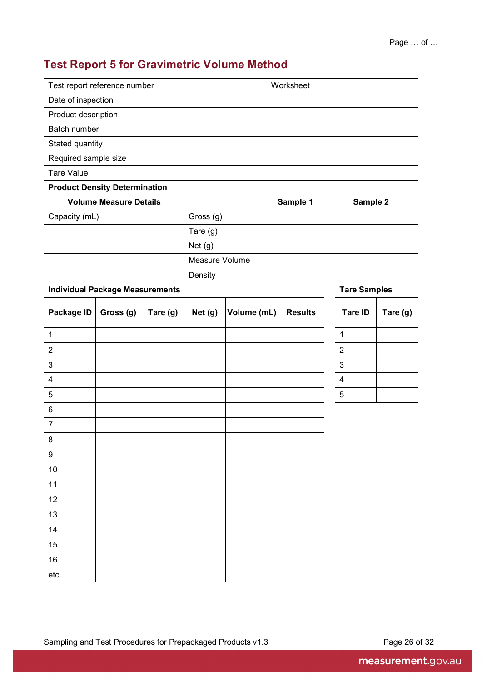# <span id="page-33-0"></span>**Test Report 5 for Gravimetric Volume Method**

| Test report reference number           |           |          |                |             | Worksheet |                |                          |          |
|----------------------------------------|-----------|----------|----------------|-------------|-----------|----------------|--------------------------|----------|
| Date of inspection                     |           |          |                |             |           |                |                          |          |
| Product description                    |           |          |                |             |           |                |                          |          |
| Batch number                           |           |          |                |             |           |                |                          |          |
| Stated quantity                        |           |          |                |             |           |                |                          |          |
| Required sample size                   |           |          |                |             |           |                |                          |          |
| <b>Tare Value</b>                      |           |          |                |             |           |                |                          |          |
| <b>Product Density Determination</b>   |           |          |                |             |           |                |                          |          |
| <b>Volume Measure Details</b>          |           |          |                |             |           | Sample 1       | Sample 2                 |          |
| Capacity (mL)                          |           |          | Gross (g)      |             |           |                |                          |          |
|                                        |           |          | Tare $(g)$     |             |           |                |                          |          |
|                                        |           |          | Net $(g)$      |             |           |                |                          |          |
|                                        |           |          | Measure Volume |             |           |                |                          |          |
|                                        |           |          | Density        |             |           |                |                          |          |
| <b>Individual Package Measurements</b> |           |          |                |             |           |                | <b>Tare Samples</b>      |          |
| Package ID                             | Gross (g) | Tare (g) | Net (g)        | Volume (mL) |           | <b>Results</b> | Tare ID                  | Tare (g) |
| 1                                      |           |          |                |             |           |                | 1                        |          |
| $\overline{2}$                         |           |          |                |             |           |                | $\overline{2}$           |          |
| $\mathbf{3}$                           |           |          |                |             |           |                | 3                        |          |
| $\overline{\mathbf{4}}$                |           |          |                |             |           |                | $\overline{\mathcal{A}}$ |          |
| $\overline{5}$                         |           |          |                |             |           |                | $\mathbf 5$              |          |
| 6                                      |           |          |                |             |           |                |                          |          |
| $\boldsymbol{7}$                       |           |          |                |             |           |                |                          |          |
| $\bf 8$                                |           |          |                |             |           |                |                          |          |
| $\boldsymbol{9}$                       |           |          |                |             |           |                |                          |          |
| 10                                     |           |          |                |             |           |                |                          |          |
| 11                                     |           |          |                |             |           |                |                          |          |
| 12                                     |           |          |                |             |           |                |                          |          |
| 13                                     |           |          |                |             |           |                |                          |          |
| 14                                     |           |          |                |             |           |                |                          |          |
| 15                                     |           |          |                |             |           |                |                          |          |
| 16                                     |           |          |                |             |           |                |                          |          |
| etc.                                   |           |          |                |             |           |                |                          |          |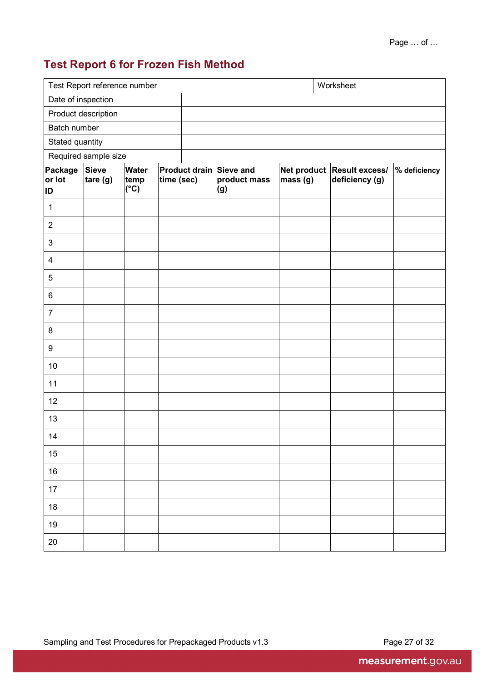# <span id="page-34-0"></span>**Test Report 6 for Frozen Fish Method**

| Test Report reference number<br>Worksheet |                          |                                       |            |  |                                                |          |                                              |              |
|-------------------------------------------|--------------------------|---------------------------------------|------------|--|------------------------------------------------|----------|----------------------------------------------|--------------|
| Date of inspection                        |                          |                                       |            |  |                                                |          |                                              |              |
|                                           | Product description      |                                       |            |  |                                                |          |                                              |              |
| Batch number                              |                          |                                       |            |  |                                                |          |                                              |              |
| Stated quantity                           |                          |                                       |            |  |                                                |          |                                              |              |
| Required sample size                      |                          |                                       |            |  |                                                |          |                                              |              |
| Package<br>or lot<br>ID                   | <b>Sieve</b><br>tare (g) | <b>Water</b><br>temp<br>$(^{\circ}C)$ | time (sec) |  | Product drain Sieve and<br>product mass<br>(g) | mass (g) | Net product Result excess/<br>deficiency (g) | % deficiency |
| $\mathbf 1$                               |                          |                                       |            |  |                                                |          |                                              |              |
| $\overline{2}$                            |                          |                                       |            |  |                                                |          |                                              |              |
| $\mathfrak{S}$                            |                          |                                       |            |  |                                                |          |                                              |              |
| $\overline{\mathcal{A}}$                  |                          |                                       |            |  |                                                |          |                                              |              |
| $\sqrt{5}$                                |                          |                                       |            |  |                                                |          |                                              |              |
| 6                                         |                          |                                       |            |  |                                                |          |                                              |              |
| $\overline{7}$                            |                          |                                       |            |  |                                                |          |                                              |              |
| 8                                         |                          |                                       |            |  |                                                |          |                                              |              |
| 9                                         |                          |                                       |            |  |                                                |          |                                              |              |
| 10                                        |                          |                                       |            |  |                                                |          |                                              |              |
| 11                                        |                          |                                       |            |  |                                                |          |                                              |              |
| 12                                        |                          |                                       |            |  |                                                |          |                                              |              |
| 13                                        |                          |                                       |            |  |                                                |          |                                              |              |
| 14                                        |                          |                                       |            |  |                                                |          |                                              |              |
| 15                                        |                          |                                       |            |  |                                                |          |                                              |              |
| 16                                        |                          |                                       |            |  |                                                |          |                                              |              |
| $17$                                      |                          |                                       |            |  |                                                |          |                                              |              |
| 18                                        |                          |                                       |            |  |                                                |          |                                              |              |
| $19$                                      |                          |                                       |            |  |                                                |          |                                              |              |
| $20\,$                                    |                          |                                       |            |  |                                                |          |                                              |              |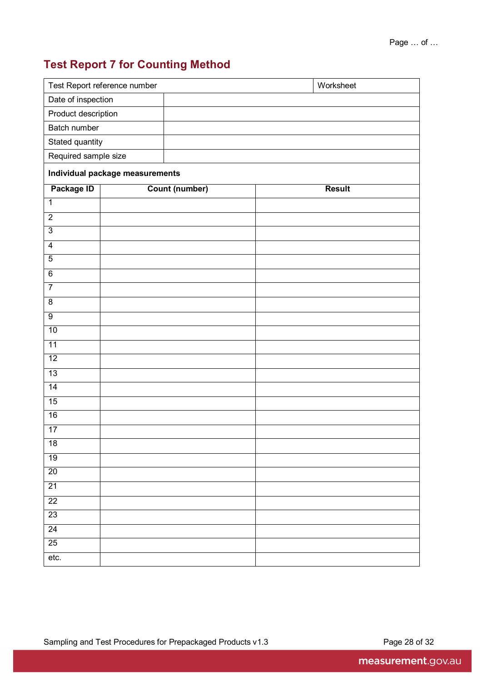# <span id="page-35-0"></span>**Test Report 7 for Counting Method**

|                     | Worksheet<br>Test Report reference number |                       |  |               |  |  |  |  |
|---------------------|-------------------------------------------|-----------------------|--|---------------|--|--|--|--|
|                     | Date of inspection                        |                       |  |               |  |  |  |  |
| Product description |                                           |                       |  |               |  |  |  |  |
| Batch number        |                                           |                       |  |               |  |  |  |  |
|                     | Stated quantity                           |                       |  |               |  |  |  |  |
|                     | Required sample size                      |                       |  |               |  |  |  |  |
|                     | Individual package measurements           |                       |  |               |  |  |  |  |
| Package ID          |                                           | <b>Count (number)</b> |  | <b>Result</b> |  |  |  |  |
| $\mathbf 1$         |                                           |                       |  |               |  |  |  |  |
| $\overline{2}$      |                                           |                       |  |               |  |  |  |  |
| $\overline{3}$      |                                           |                       |  |               |  |  |  |  |
| $\overline{4}$      |                                           |                       |  |               |  |  |  |  |
| $\overline{5}$      |                                           |                       |  |               |  |  |  |  |
| $\overline{6}$      |                                           |                       |  |               |  |  |  |  |
| $\overline{7}$      |                                           |                       |  |               |  |  |  |  |
| $\overline{8}$      |                                           |                       |  |               |  |  |  |  |
| $\overline{9}$      |                                           |                       |  |               |  |  |  |  |
| 10                  |                                           |                       |  |               |  |  |  |  |
| 11                  |                                           |                       |  |               |  |  |  |  |
| 12                  |                                           |                       |  |               |  |  |  |  |
| 13                  |                                           |                       |  |               |  |  |  |  |
| $\overline{14}$     |                                           |                       |  |               |  |  |  |  |
| 15                  |                                           |                       |  |               |  |  |  |  |
| 16                  |                                           |                       |  |               |  |  |  |  |
| 17                  |                                           |                       |  |               |  |  |  |  |
| 18                  |                                           |                       |  |               |  |  |  |  |
| 19                  |                                           |                       |  |               |  |  |  |  |
| $\overline{20}$     |                                           |                       |  |               |  |  |  |  |
| $\overline{21}$     |                                           |                       |  |               |  |  |  |  |
| $\overline{22}$     |                                           |                       |  |               |  |  |  |  |
| 23                  |                                           |                       |  |               |  |  |  |  |
| 24                  |                                           |                       |  |               |  |  |  |  |
| 25                  |                                           |                       |  |               |  |  |  |  |
| etc.                |                                           |                       |  |               |  |  |  |  |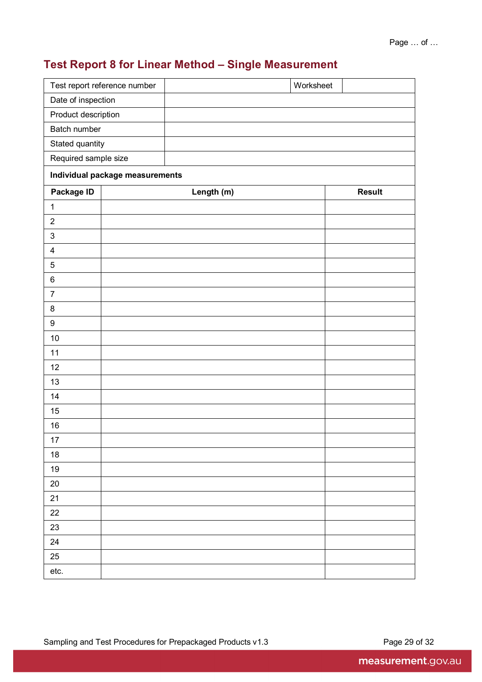# <span id="page-36-0"></span>**Test Report 8 for Linear Method – Single Measurement**

|                         | Test report reference number    |            | Worksheet |               |  |  |  |  |
|-------------------------|---------------------------------|------------|-----------|---------------|--|--|--|--|
| Date of inspection      |                                 |            |           |               |  |  |  |  |
| Product description     |                                 |            |           |               |  |  |  |  |
| Batch number            |                                 |            |           |               |  |  |  |  |
|                         | Stated quantity                 |            |           |               |  |  |  |  |
|                         | Required sample size            |            |           |               |  |  |  |  |
|                         | Individual package measurements |            |           |               |  |  |  |  |
| Package ID              |                                 | Length (m) |           | <b>Result</b> |  |  |  |  |
| $\mathbf{1}$            |                                 |            |           |               |  |  |  |  |
| $\overline{2}$          |                                 |            |           |               |  |  |  |  |
| $\mathsf 3$             |                                 |            |           |               |  |  |  |  |
| $\overline{\mathbf{4}}$ |                                 |            |           |               |  |  |  |  |
| $\mathbf 5$             |                                 |            |           |               |  |  |  |  |
| $\,6\,$                 |                                 |            |           |               |  |  |  |  |
| $\overline{7}$          |                                 |            |           |               |  |  |  |  |
| $\,8\,$                 |                                 |            |           |               |  |  |  |  |
| $\boldsymbol{9}$        |                                 |            |           |               |  |  |  |  |
| $10$                    |                                 |            |           |               |  |  |  |  |
| 11                      |                                 |            |           |               |  |  |  |  |
| 12                      |                                 |            |           |               |  |  |  |  |
| 13                      |                                 |            |           |               |  |  |  |  |
| 14                      |                                 |            |           |               |  |  |  |  |
| 15                      |                                 |            |           |               |  |  |  |  |
| 16                      |                                 |            |           |               |  |  |  |  |
| $17 \,$                 |                                 |            |           |               |  |  |  |  |
| $18\,$                  |                                 |            |           |               |  |  |  |  |
| $19$                    |                                 |            |           |               |  |  |  |  |
| $20\,$                  |                                 |            |           |               |  |  |  |  |
| 21                      |                                 |            |           |               |  |  |  |  |
| $22\,$                  |                                 |            |           |               |  |  |  |  |
| 23                      |                                 |            |           |               |  |  |  |  |
| 24                      |                                 |            |           |               |  |  |  |  |
| $25\,$                  |                                 |            |           |               |  |  |  |  |
| etc.                    |                                 |            |           |               |  |  |  |  |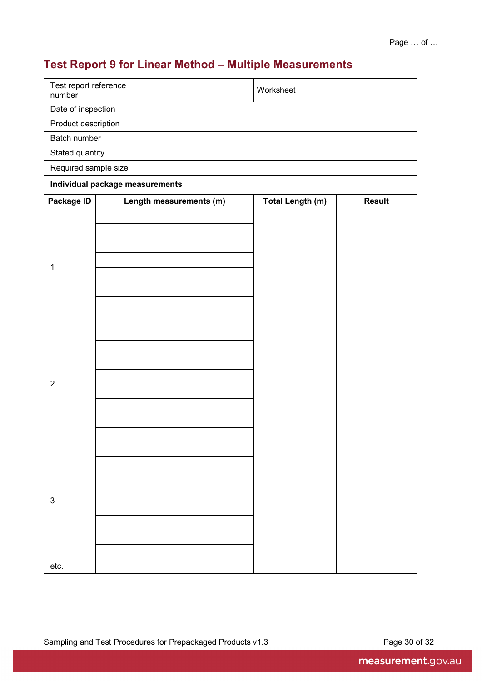# <span id="page-37-0"></span>**Test Report 9 for Linear Method – Multiple Measurements**

| Test report reference<br>number |                                 |                         | Worksheet               |               |
|---------------------------------|---------------------------------|-------------------------|-------------------------|---------------|
| Date of inspection              |                                 |                         |                         |               |
| Product description             |                                 |                         |                         |               |
| Batch number                    |                                 |                         |                         |               |
| Stated quantity                 |                                 |                         |                         |               |
| Required sample size            |                                 |                         |                         |               |
|                                 | Individual package measurements |                         |                         |               |
| Package ID                      |                                 | Length measurements (m) | <b>Total Length (m)</b> | <b>Result</b> |
| 1                               |                                 |                         |                         |               |
| $\overline{2}$                  |                                 |                         |                         |               |
| $\ensuremath{\mathsf{3}}$       |                                 |                         |                         |               |
| etc.                            |                                 |                         |                         |               |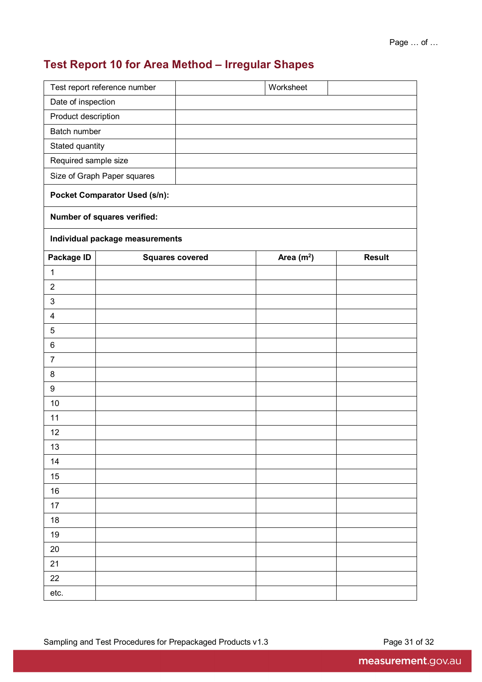# <span id="page-38-0"></span>**Test Report 10 for Area Method – Irregular Shapes**

|                         | Test report reference number         |  | Worksheet   |               |  |  |  |  |
|-------------------------|--------------------------------------|--|-------------|---------------|--|--|--|--|
| Date of inspection      |                                      |  |             |               |  |  |  |  |
| Product description     |                                      |  |             |               |  |  |  |  |
|                         | Batch number                         |  |             |               |  |  |  |  |
| Stated quantity         |                                      |  |             |               |  |  |  |  |
| Required sample size    |                                      |  |             |               |  |  |  |  |
|                         | Size of Graph Paper squares          |  |             |               |  |  |  |  |
|                         | <b>Pocket Comparator Used (s/n):</b> |  |             |               |  |  |  |  |
|                         | Number of squares verified:          |  |             |               |  |  |  |  |
|                         | Individual package measurements      |  |             |               |  |  |  |  |
| Package ID              | <b>Squares covered</b>               |  | Area $(m2)$ | <b>Result</b> |  |  |  |  |
| $\mathbf 1$             |                                      |  |             |               |  |  |  |  |
| $\overline{2}$          |                                      |  |             |               |  |  |  |  |
| 3                       |                                      |  |             |               |  |  |  |  |
| $\overline{\mathbf{4}}$ |                                      |  |             |               |  |  |  |  |
| 5                       |                                      |  |             |               |  |  |  |  |
| 6                       |                                      |  |             |               |  |  |  |  |
| $\overline{7}$          |                                      |  |             |               |  |  |  |  |
| 8                       |                                      |  |             |               |  |  |  |  |
| $\boldsymbol{9}$        |                                      |  |             |               |  |  |  |  |
| 10                      |                                      |  |             |               |  |  |  |  |
| 11                      |                                      |  |             |               |  |  |  |  |
| 12                      |                                      |  |             |               |  |  |  |  |
| 13                      |                                      |  |             |               |  |  |  |  |
| 14                      |                                      |  |             |               |  |  |  |  |
| 15                      |                                      |  |             |               |  |  |  |  |
| 16                      |                                      |  |             |               |  |  |  |  |
| 17                      |                                      |  |             |               |  |  |  |  |
| 18                      |                                      |  |             |               |  |  |  |  |
| 19                      |                                      |  |             |               |  |  |  |  |
| 20                      |                                      |  |             |               |  |  |  |  |
| 21                      |                                      |  |             |               |  |  |  |  |
| 22                      |                                      |  |             |               |  |  |  |  |
| etc.                    |                                      |  |             |               |  |  |  |  |